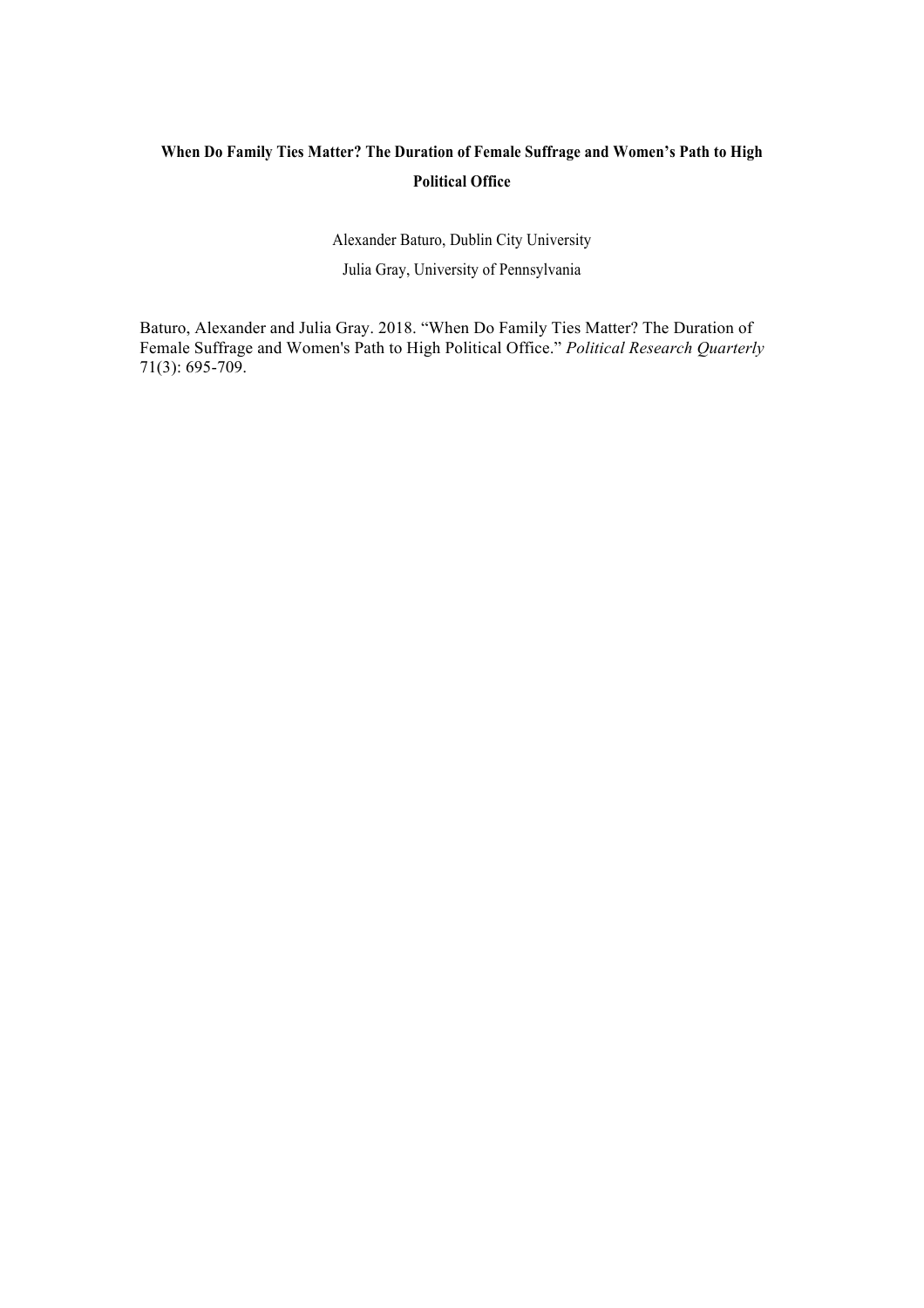## **When Do Family Ties Matter? The Duration of Female Suffrage and Women's Path to High Political Office**

Alexander Baturo, Dublin City University Julia Gray, University of Pennsylvania

Baturo, Alexander and Julia Gray. 2018. "When Do Family Ties Matter? The Duration of Female Suffrage and Women's Path to High Political Office." *Political Research Quarterly* 71(3): 695-709.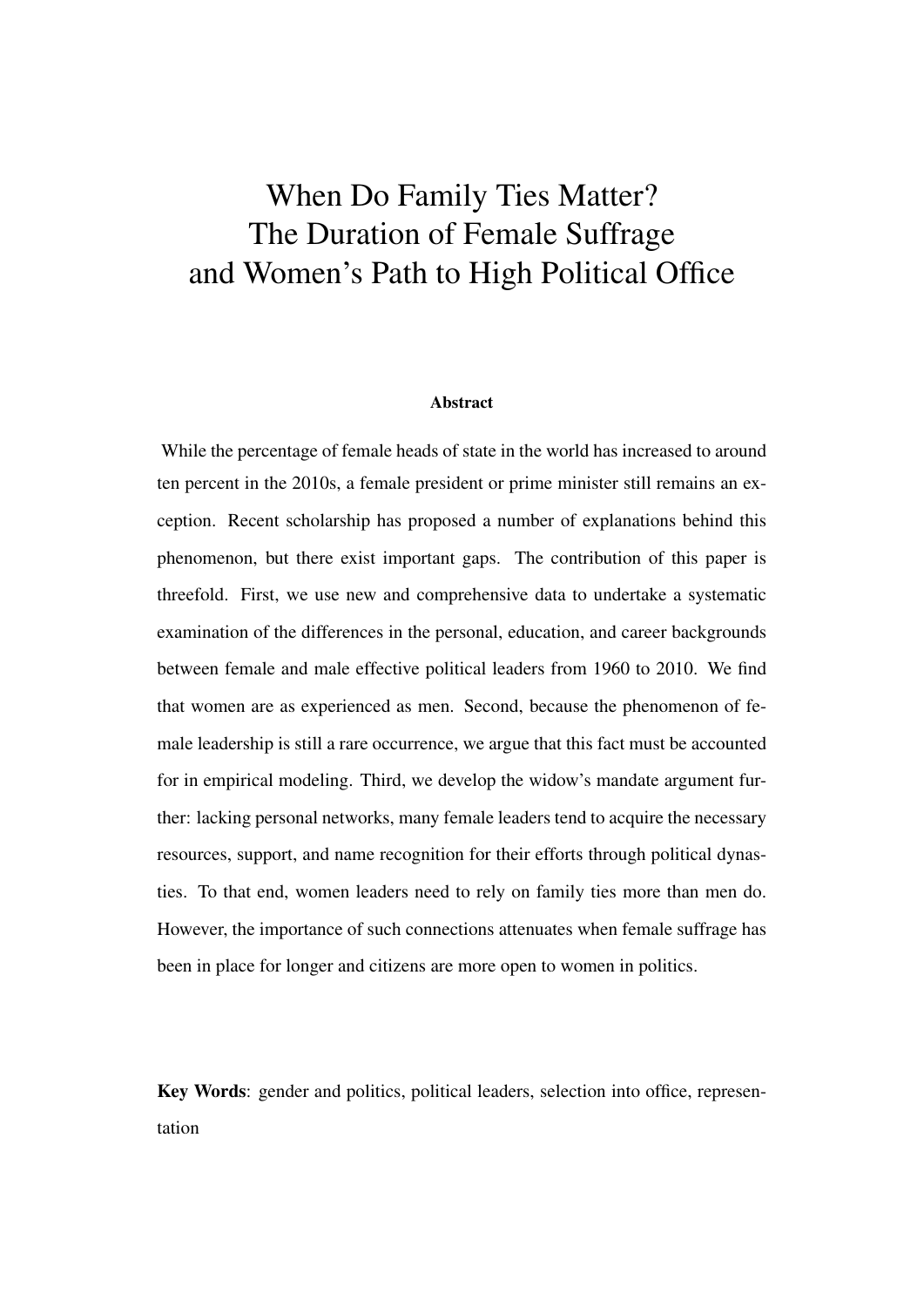# When Do Family Ties Matter? The Duration of Female Suffrage and Women's Path to High Political Office

#### Abstract

While the percentage of female heads of state in the world has increased to around ten percent in the 2010s, a female president or prime minister still remains an exception. Recent scholarship has proposed a number of explanations behind this phenomenon, but there exist important gaps. The contribution of this paper is threefold. First, we use new and comprehensive data to undertake a systematic examination of the differences in the personal, education, and career backgrounds between female and male effective political leaders from 1960 to 2010. We find that women are as experienced as men. Second, because the phenomenon of female leadership is still a rare occurrence, we argue that this fact must be accounted for in empirical modeling. Third, we develop the widow's mandate argument further: lacking personal networks, many female leaders tend to acquire the necessary resources, support, and name recognition for their efforts through political dynasties. To that end, women leaders need to rely on family ties more than men do. However, the importance of such connections attenuates when female suffrage has been in place for longer and citizens are more open to women in politics.

Key Words: gender and politics, political leaders, selection into office, representation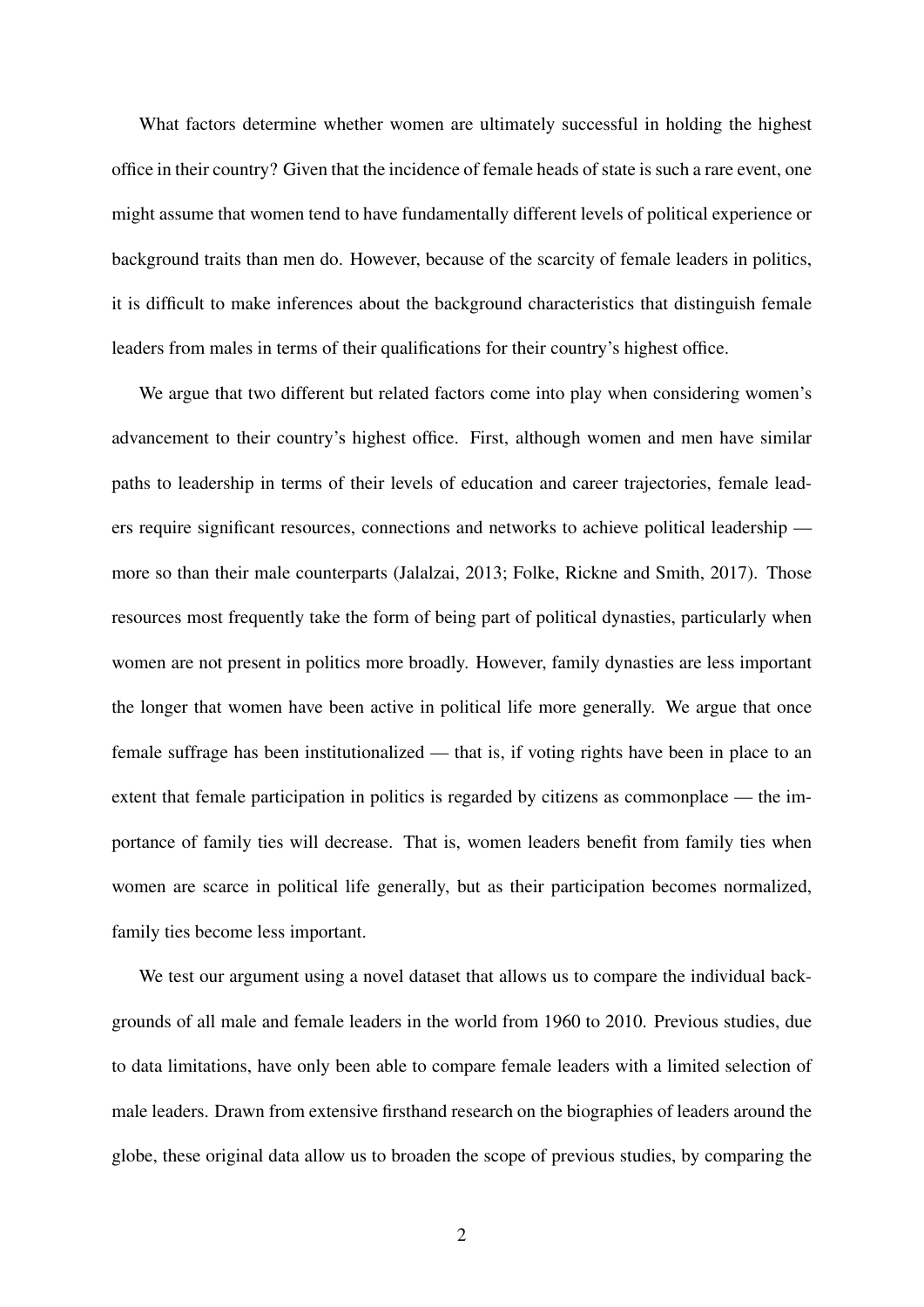What factors determine whether women are ultimately successful in holding the highest office in their country? Given that the incidence of female heads of state is such a rare event, one might assume that women tend to have fundamentally different levels of political experience or background traits than men do. However, because of the scarcity of female leaders in politics, it is difficult to make inferences about the background characteristics that distinguish female leaders from males in terms of their qualifications for their country's highest office.

We argue that two different but related factors come into play when considering women's advancement to their country's highest office. First, although women and men have similar paths to leadership in terms of their levels of education and career trajectories, female leaders require significant resources, connections and networks to achieve political leadership more so than their male counterparts [\(Jalalzai,](#page-31-0) [2013;](#page-31-0) [Folke, Rickne and Smith,](#page-30-0) [2017\)](#page-30-0). Those resources most frequently take the form of being part of political dynasties, particularly when women are not present in politics more broadly. However, family dynasties are less important the longer that women have been active in political life more generally. We argue that once female suffrage has been institutionalized — that is, if voting rights have been in place to an extent that female participation in politics is regarded by citizens as commonplace — the importance of family ties will decrease. That is, women leaders benefit from family ties when women are scarce in political life generally, but as their participation becomes normalized, family ties become less important.

We test our argument using a novel dataset that allows us to compare the individual backgrounds of all male and female leaders in the world from 1960 to 2010. Previous studies, due to data limitations, have only been able to compare female leaders with a limited selection of male leaders. Drawn from extensive firsthand research on the biographies of leaders around the globe, these original data allow us to broaden the scope of previous studies, by comparing the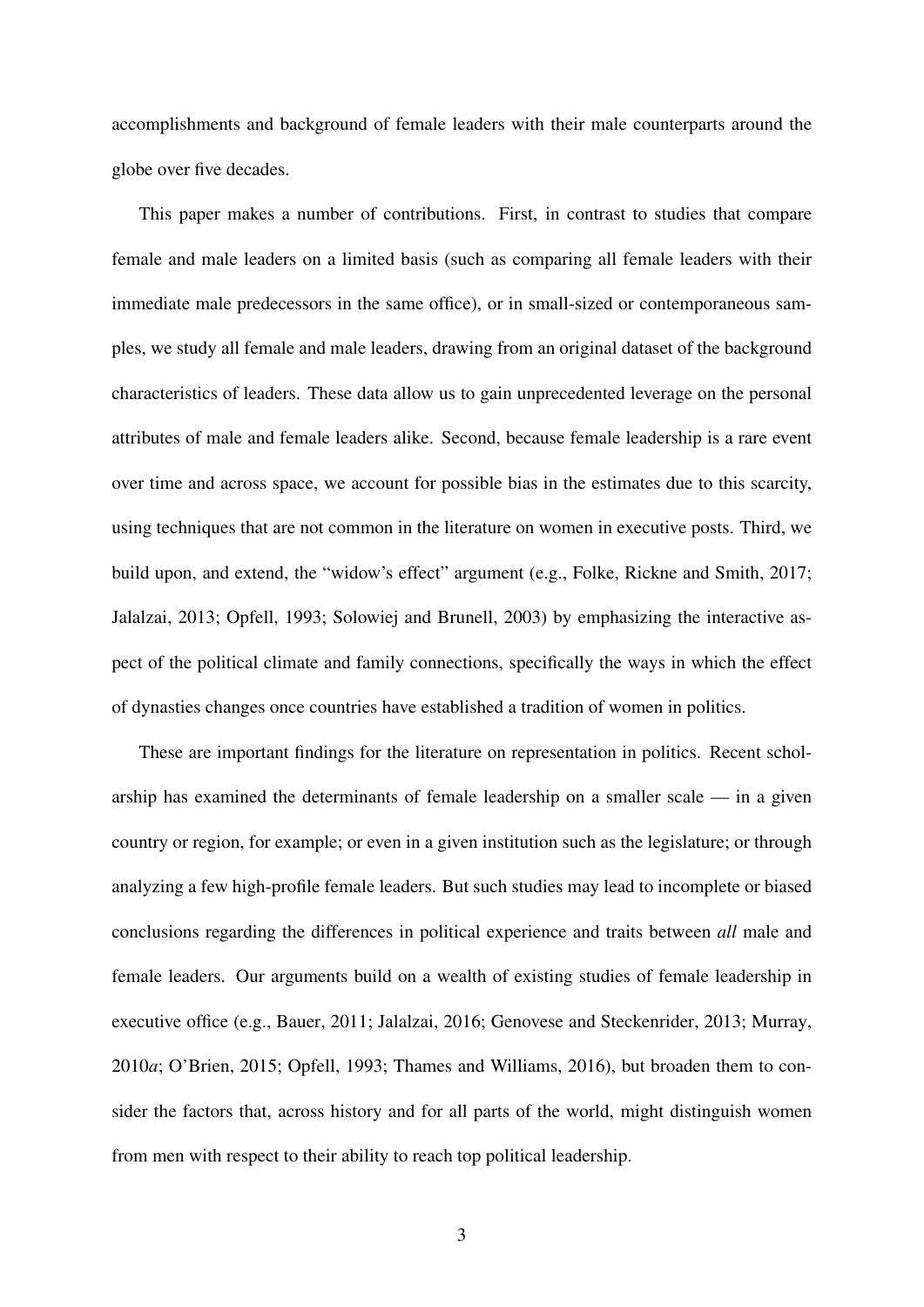accomplishments and background of female leaders with their male counterparts around the globe over five decades.

This paper makes a number of contributions. First, in contrast to studies that compare female and male leaders on a limited basis (such as comparing all female leaders with their immediate male predecessors in the same office), or in small-sized or contemporaneous samples, we study all female and male leaders, drawing from an original dataset of the background characteristics of leaders. These data allow us to gain unprecedented leverage on the personal attributes of male and female leaders alike. Second, because female leadership is a rare event over time and across space, we account for possible bias in the estimates due to this scarcity, using techniques that are not common in the literature on women in executive posts. Third, we build upon, and extend, the "widow's effect" argument (e.g., [Folke, Rickne and Smith,](#page-30-0) [2017;](#page-30-0) [Jalalzai,](#page-31-0) [2013;](#page-31-0) [Opfell,](#page-32-0) [1993;](#page-32-0) [Solowiej and Brunell,](#page-33-0) [2003\)](#page-33-0) by emphasizing the interactive aspect of the political climate and family connections, specifically the ways in which the effect of dynasties changes once countries have established a tradition of women in politics.

These are important findings for the literature on representation in politics. Recent scholarship has examined the determinants of female leadership on a smaller scale — in a given country or region, for example; or even in a given institution such as the legislature; or through analyzing a few high-profile female leaders. But such studies may lead to incomplete or biased conclusions regarding the differences in political experience and traits between *all* male and female leaders. Our arguments build on a wealth of existing studies of female leadership in executive office (e.g., [Bauer,](#page-29-0) [2011;](#page-29-0) [Jalalzai,](#page-31-1) [2016;](#page-31-1) [Genovese and Steckenrider,](#page-31-2) [2013;](#page-31-2) [Murray,](#page-32-1) [2010](#page-32-1)*a*; [O'Brien,](#page-32-2) [2015;](#page-32-2) [Opfell,](#page-32-0) [1993;](#page-32-0) [Thames and Williams,](#page-33-1) [2016\)](#page-33-1), but broaden them to consider the factors that, across history and for all parts of the world, might distinguish women from men with respect to their ability to reach top political leadership.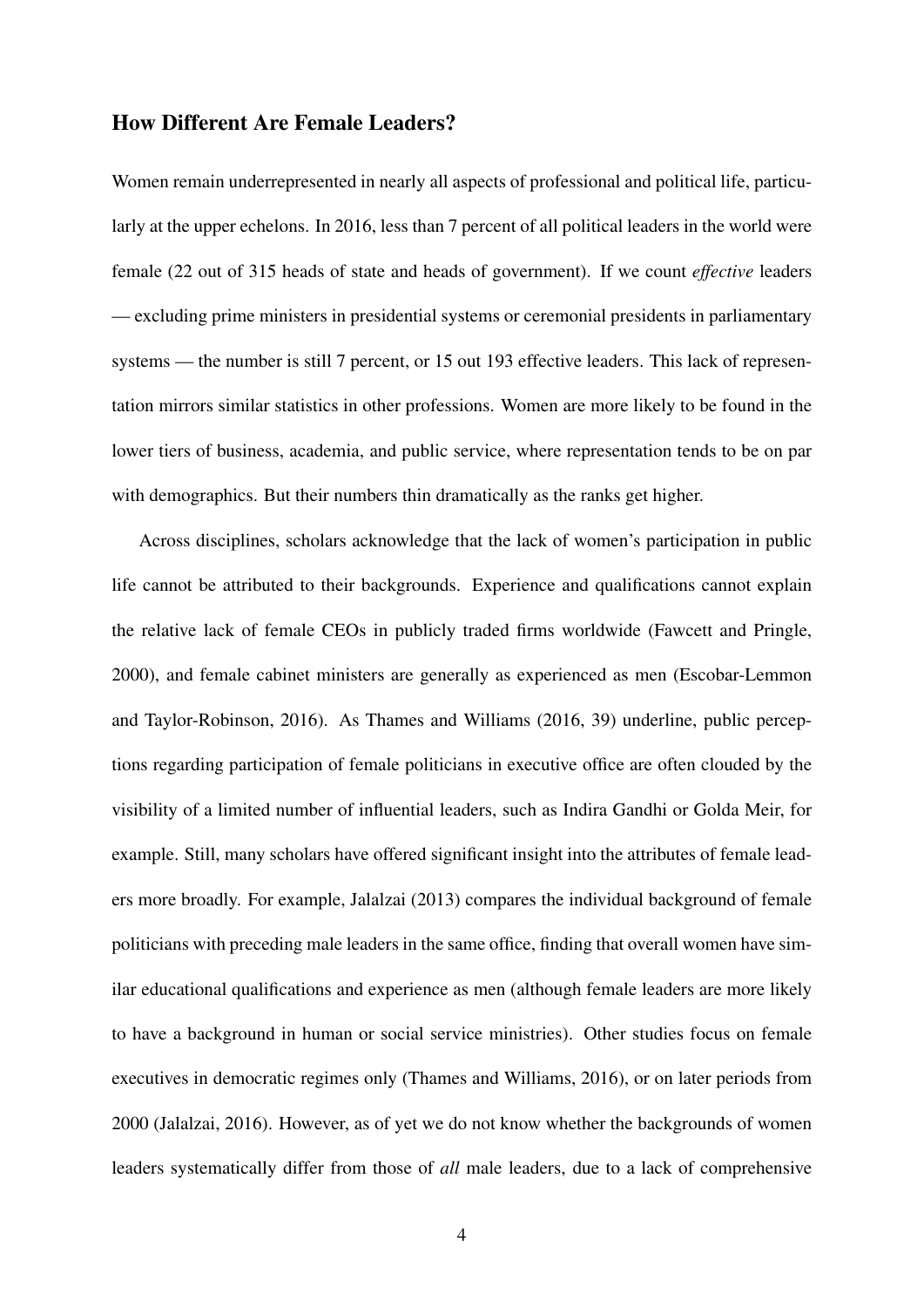#### How Different Are Female Leaders?

Women remain underrepresented in nearly all aspects of professional and political life, particularly at the upper echelons. In 2016, less than 7 percent of all political leaders in the world were female (22 out of 315 heads of state and heads of government). If we count *effective* leaders — excluding prime ministers in presidential systems or ceremonial presidents in parliamentary systems — the number is still 7 percent, or 15 out 193 effective leaders. This lack of representation mirrors similar statistics in other professions. Women are more likely to be found in the lower tiers of business, academia, and public service, where representation tends to be on par with demographics. But their numbers thin dramatically as the ranks get higher.

Across disciplines, scholars acknowledge that the lack of women's participation in public life cannot be attributed to their backgrounds. Experience and qualifications cannot explain the relative lack of female CEOs in publicly traded firms worldwide [\(Fawcett and Pringle,](#page-30-1) [2000\)](#page-30-1), and female cabinet ministers are generally as experienced as men [\(Escobar-Lemmon](#page-30-2) [and Taylor-Robinson,](#page-30-2) [2016\)](#page-30-2). As [Thames and Williams](#page-33-1) [\(2016,](#page-33-1) 39) underline, public perceptions regarding participation of female politicians in executive office are often clouded by the visibility of a limited number of influential leaders, such as Indira Gandhi or Golda Meir, for example. Still, many scholars have offered significant insight into the attributes of female leaders more broadly. For example, [Jalalzai](#page-31-0) [\(2013\)](#page-31-0) compares the individual background of female politicians with preceding male leaders in the same office, finding that overall women have similar educational qualifications and experience as men (although female leaders are more likely to have a background in human or social service ministries). Other studies focus on female executives in democratic regimes only [\(Thames and Williams,](#page-33-1) [2016\)](#page-33-1), or on later periods from 2000 [\(Jalalzai,](#page-31-1) [2016\)](#page-31-1). However, as of yet we do not know whether the backgrounds of women leaders systematically differ from those of *all* male leaders, due to a lack of comprehensive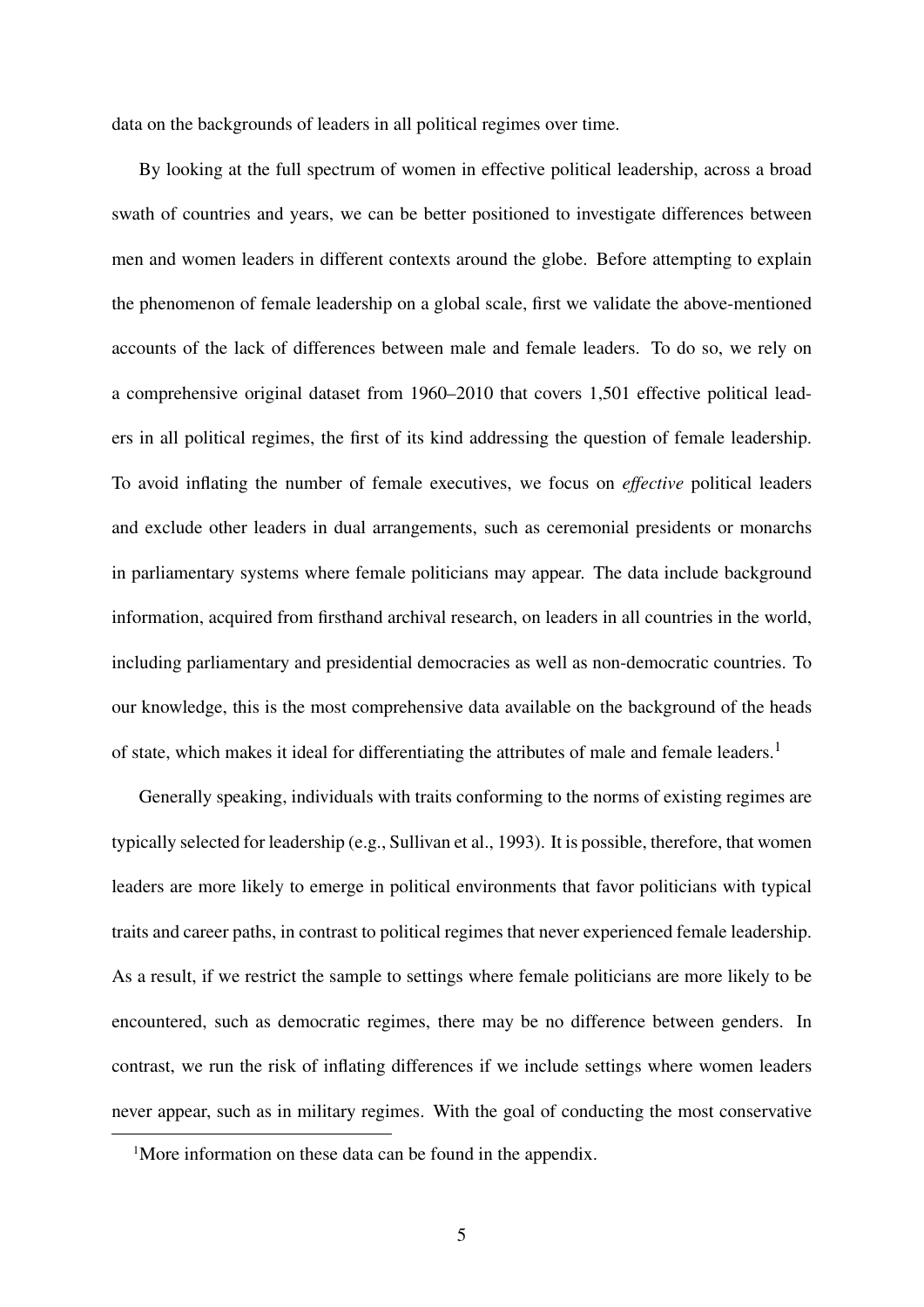data on the backgrounds of leaders in all political regimes over time.

By looking at the full spectrum of women in effective political leadership, across a broad swath of countries and years, we can be better positioned to investigate differences between men and women leaders in different contexts around the globe. Before attempting to explain the phenomenon of female leadership on a global scale, first we validate the above-mentioned accounts of the lack of differences between male and female leaders. To do so, we rely on a comprehensive original dataset from 1960–2010 that covers 1,501 effective political leaders in all political regimes, the first of its kind addressing the question of female leadership. To avoid inflating the number of female executives, we focus on *effective* political leaders and exclude other leaders in dual arrangements, such as ceremonial presidents or monarchs in parliamentary systems where female politicians may appear. The data include background information, acquired from firsthand archival research, on leaders in all countries in the world, including parliamentary and presidential democracies as well as non-democratic countries. To our knowledge, this is the most comprehensive data available on the background of the heads of state, which makes it ideal for differentiating the attributes of male and female leaders.<sup>1</sup>

Generally speaking, individuals with traits conforming to the norms of existing regimes are typically selected for leadership (e.g., [Sullivan et al.,](#page-33-2) [1993\)](#page-33-2). It is possible, therefore, that women leaders are more likely to emerge in political environments that favor politicians with typical traits and career paths, in contrast to political regimes that never experienced female leadership. As a result, if we restrict the sample to settings where female politicians are more likely to be encountered, such as democratic regimes, there may be no difference between genders. In contrast, we run the risk of inflating differences if we include settings where women leaders never appear, such as in military regimes. With the goal of conducting the most conservative

<span id="page-5-0"></span><sup>&</sup>lt;sup>1</sup>More information on these data can be found in the appendix.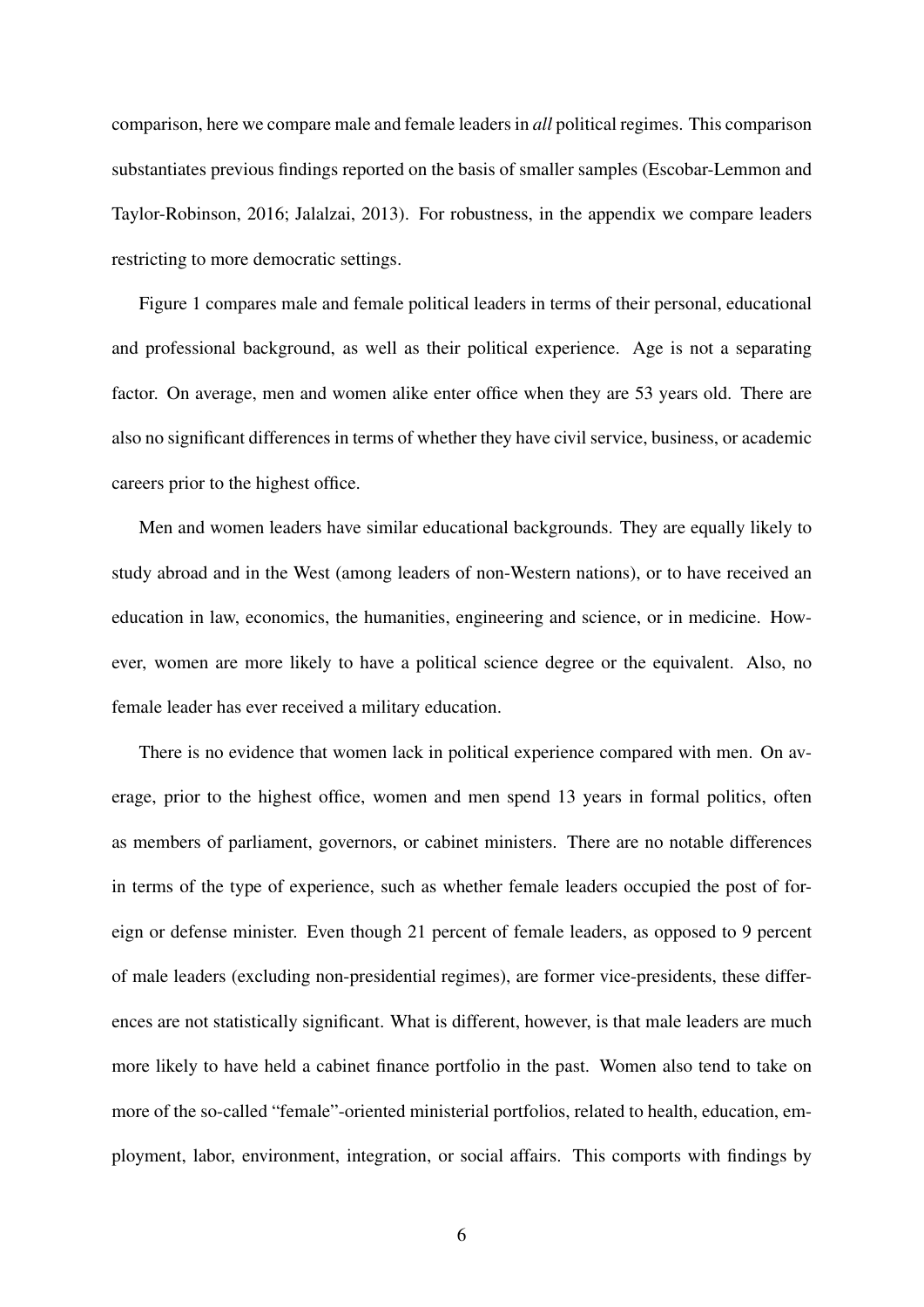comparison, here we compare male and female leaders in *all* political regimes. This comparison substantiates previous findings reported on the basis of smaller samples [\(Escobar-Lemmon and](#page-30-2) [Taylor-Robinson,](#page-30-2) [2016;](#page-30-2) [Jalalzai,](#page-31-0) [2013\)](#page-31-0). For robustness, in the appendix we compare leaders restricting to more democratic settings.

Figure [1](#page-35-0) compares male and female political leaders in terms of their personal, educational and professional background, as well as their political experience. Age is not a separating factor. On average, men and women alike enter office when they are 53 years old. There are also no significant differences in terms of whether they have civil service, business, or academic careers prior to the highest office.

Men and women leaders have similar educational backgrounds. They are equally likely to study abroad and in the West (among leaders of non-Western nations), or to have received an education in law, economics, the humanities, engineering and science, or in medicine. However, women are more likely to have a political science degree or the equivalent. Also, no female leader has ever received a military education.

There is no evidence that women lack in political experience compared with men. On average, prior to the highest office, women and men spend 13 years in formal politics, often as members of parliament, governors, or cabinet ministers. There are no notable differences in terms of the type of experience, such as whether female leaders occupied the post of foreign or defense minister. Even though 21 percent of female leaders, as opposed to 9 percent of male leaders (excluding non-presidential regimes), are former vice-presidents, these differences are not statistically significant. What is different, however, is that male leaders are much more likely to have held a cabinet finance portfolio in the past. Women also tend to take on more of the so-called "female"-oriented ministerial portfolios, related to health, education, employment, labor, environment, integration, or social affairs. This comports with findings by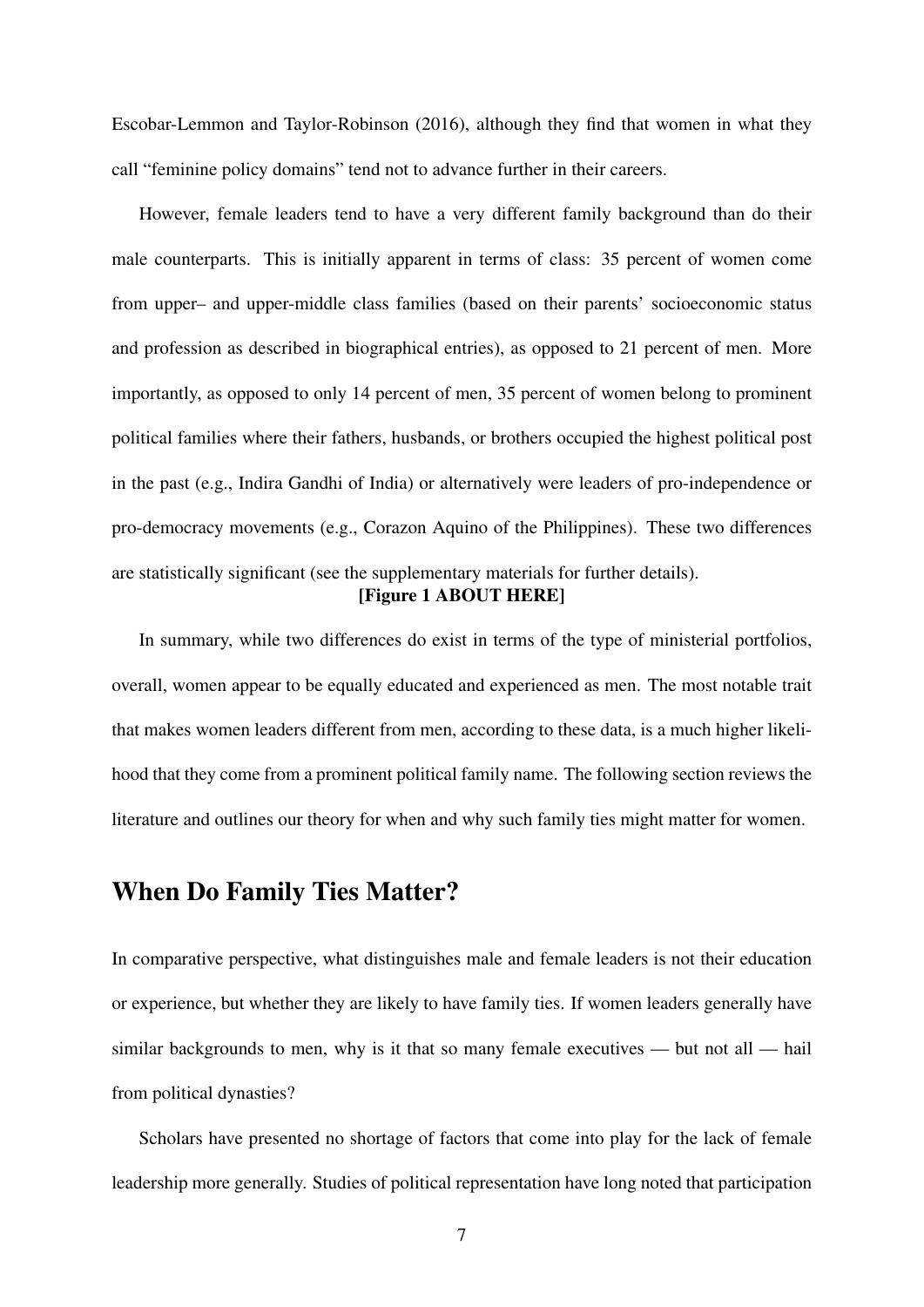[Escobar-Lemmon and Taylor-Robinson](#page-30-2) [\(2016\)](#page-30-2), although they find that women in what they call "feminine policy domains" tend not to advance further in their careers.

However, female leaders tend to have a very different family background than do their male counterparts. This is initially apparent in terms of class: 35 percent of women come from upper– and upper-middle class families (based on their parents' socioeconomic status and profession as described in biographical entries), as opposed to 21 percent of men. More importantly, as opposed to only 14 percent of men, 35 percent of women belong to prominent political families where their fathers, husbands, or brothers occupied the highest political post in the past (e.g., Indira Gandhi of India) or alternatively were leaders of pro-independence or pro-democracy movements (e.g., Corazon Aquino of the Philippines). These two differences are statistically significant (see the supplementary materials for further details). [Figure [1](#page-35-0) ABOUT HERE]

In summary, while two differences do exist in terms of the type of ministerial portfolios, overall, women appear to be equally educated and experienced as men. The most notable trait that makes women leaders different from men, according to these data, is a much higher likelihood that they come from a prominent political family name. The following section reviews the literature and outlines our theory for when and why such family ties might matter for women.

## When Do Family Ties Matter?

In comparative perspective, what distinguishes male and female leaders is not their education or experience, but whether they are likely to have family ties. If women leaders generally have similar backgrounds to men, why is it that so many female executives — but not all — hail from political dynasties?

Scholars have presented no shortage of factors that come into play for the lack of female leadership more generally. Studies of political representation have long noted that participation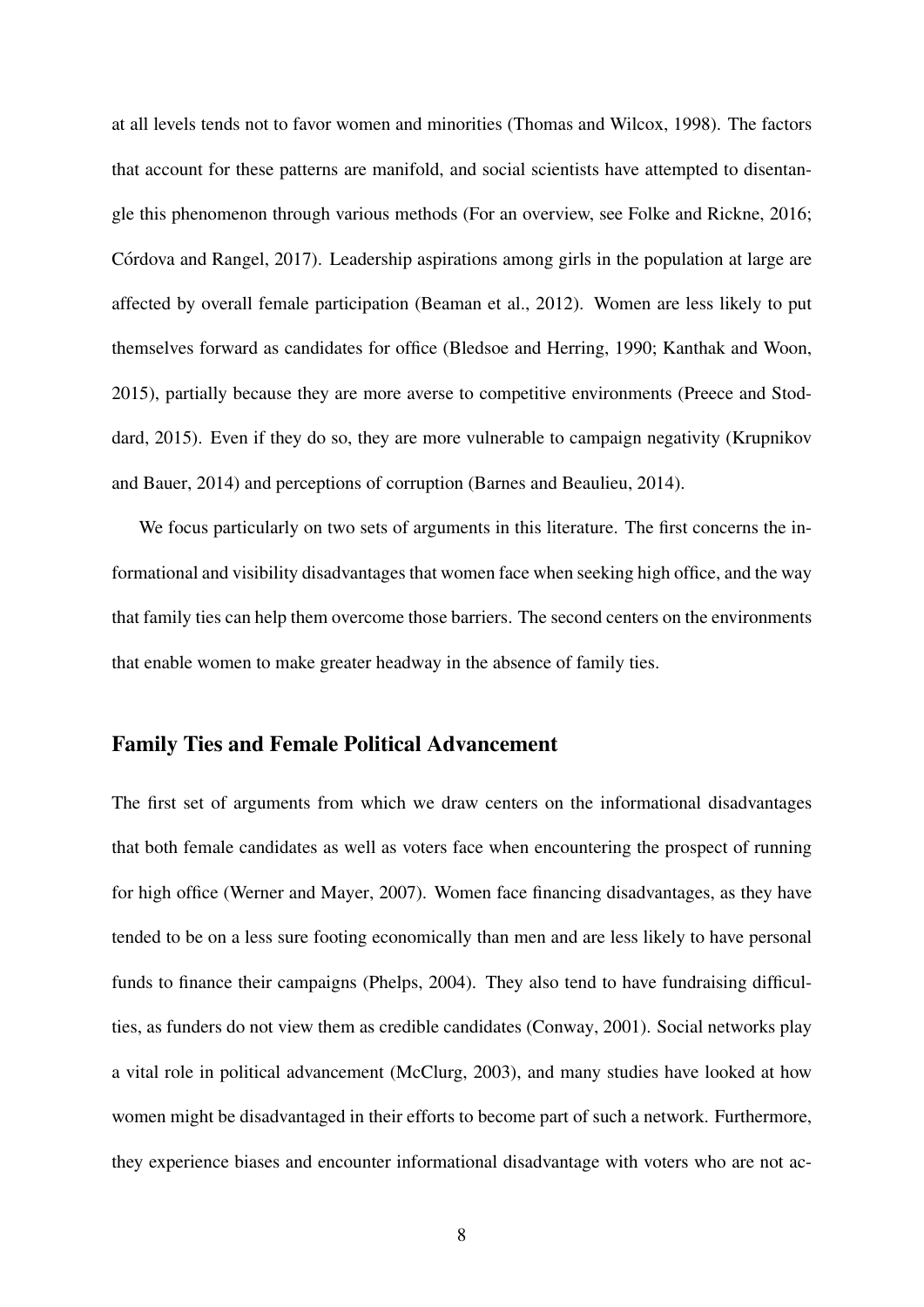at all levels tends not to favor women and minorities [\(Thomas and Wilcox,](#page-33-3) [1998\)](#page-33-3). The factors that account for these patterns are manifold, and social scientists have attempted to disentangle this phenomenon through various methods (For an overview, see [Folke and Rickne,](#page-30-3) [2016;](#page-30-3) Córdova and Rangel, [2017\)](#page-30-4). Leadership aspirations among girls in the population at large are affected by overall female participation [\(Beaman et al.,](#page-29-1) [2012\)](#page-29-1). Women are less likely to put themselves forward as candidates for office [\(Bledsoe and Herring,](#page-29-2) [1990;](#page-29-2) [Kanthak and Woon,](#page-31-3) [2015\)](#page-31-3), partially because they are more averse to competitive environments [\(Preece and Stod](#page-32-3)[dard,](#page-32-3) [2015\)](#page-32-3). Even if they do so, they are more vulnerable to campaign negativity [\(Krupnikov](#page-32-4) [and Bauer,](#page-32-4) [2014\)](#page-32-4) and perceptions of corruption [\(Barnes and Beaulieu,](#page-29-3) [2014\)](#page-29-3).

We focus particularly on two sets of arguments in this literature. The first concerns the informational and visibility disadvantages that women face when seeking high office, and the way that family ties can help them overcome those barriers. The second centers on the environments that enable women to make greater headway in the absence of family ties.

#### Family Ties and Female Political Advancement

The first set of arguments from which we draw centers on the informational disadvantages that both female candidates as well as voters face when encountering the prospect of running for high office [\(Werner and Mayer,](#page-34-0) [2007\)](#page-34-0). Women face financing disadvantages, as they have tended to be on a less sure footing economically than men and are less likely to have personal funds to finance their campaigns [\(Phelps,](#page-32-5) [2004\)](#page-32-5). They also tend to have fundraising difficulties, as funders do not view them as credible candidates [\(Conway,](#page-30-5) [2001\)](#page-30-5). Social networks play a vital role in political advancement [\(McClurg,](#page-32-6) [2003\)](#page-32-6), and many studies have looked at how women might be disadvantaged in their efforts to become part of such a network. Furthermore, they experience biases and encounter informational disadvantage with voters who are not ac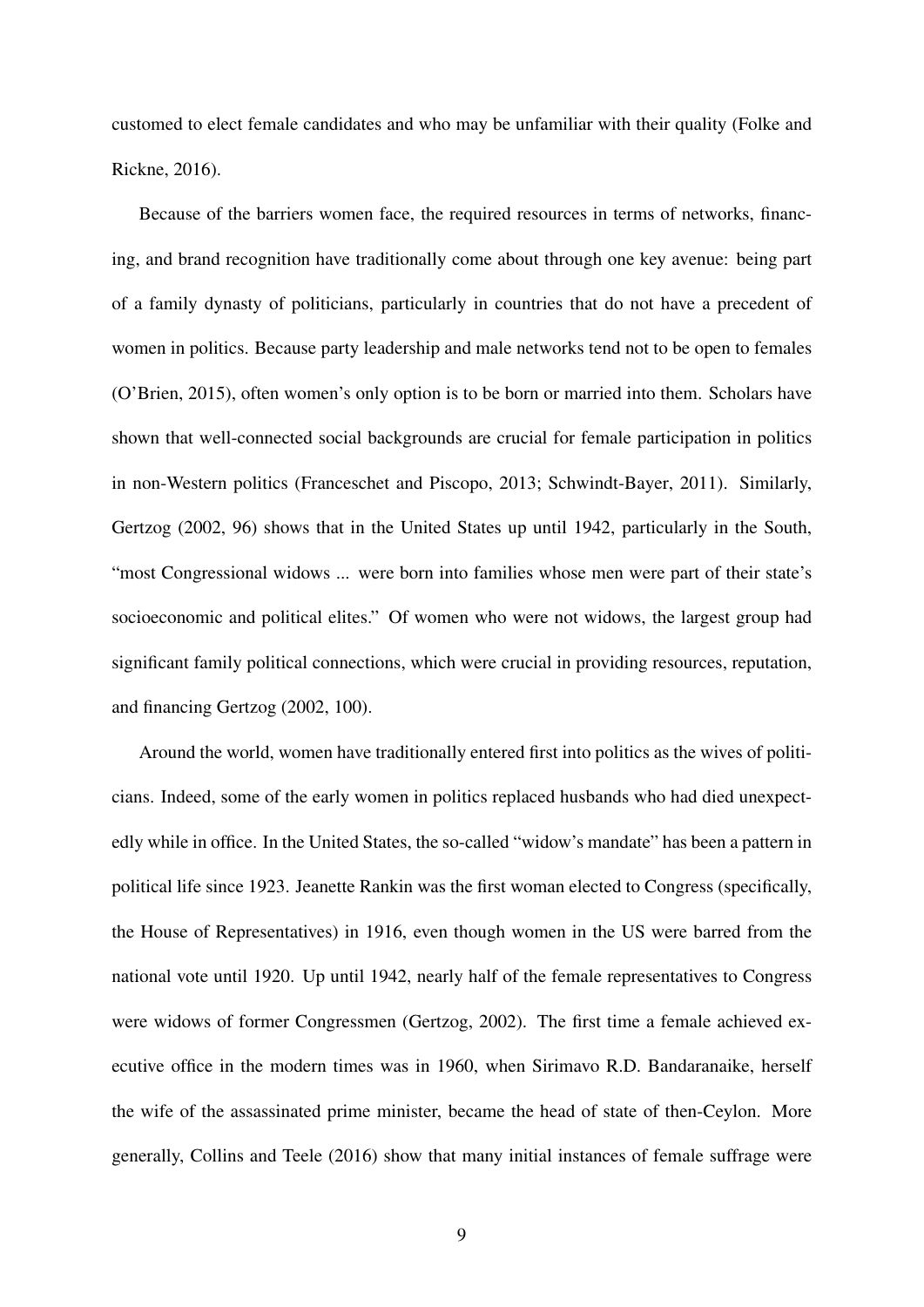customed to elect female candidates and who may be unfamiliar with their quality [\(Folke and](#page-30-3) [Rickne,](#page-30-3) [2016\)](#page-30-3).

Because of the barriers women face, the required resources in terms of networks, financing, and brand recognition have traditionally come about through one key avenue: being part of a family dynasty of politicians, particularly in countries that do not have a precedent of women in politics. Because party leadership and male networks tend not to be open to females [\(O'Brien,](#page-32-2) [2015\)](#page-32-2), often women's only option is to be born or married into them. Scholars have shown that well-connected social backgrounds are crucial for female participation in politics in non-Western politics [\(Franceschet and Piscopo,](#page-31-4) [2013;](#page-31-4) [Schwindt-Bayer,](#page-33-4) [2011\)](#page-33-4). Similarly, [Gertzog](#page-31-5) [\(2002,](#page-31-5) 96) shows that in the United States up until 1942, particularly in the South, "most Congressional widows ... were born into families whose men were part of their state's socioeconomic and political elites." Of women who were not widows, the largest group had significant family political connections, which were crucial in providing resources, reputation, and financing [Gertzog](#page-31-5) [\(2002,](#page-31-5) 100).

Around the world, women have traditionally entered first into politics as the wives of politicians. Indeed, some of the early women in politics replaced husbands who had died unexpectedly while in office. In the United States, the so-called "widow's mandate" has been a pattern in political life since 1923. Jeanette Rankin was the first woman elected to Congress (specifically, the House of Representatives) in 1916, even though women in the US were barred from the national vote until 1920. Up until 1942, nearly half of the female representatives to Congress were widows of former Congressmen [\(Gertzog,](#page-31-5) [2002\)](#page-31-5). The first time a female achieved executive office in the modern times was in 1960, when Sirimavo R.D. Bandaranaike, herself the wife of the assassinated prime minister, became the head of state of then-Ceylon. More generally, [Collins and Teele](#page-30-6) [\(2016\)](#page-30-6) show that many initial instances of female suffrage were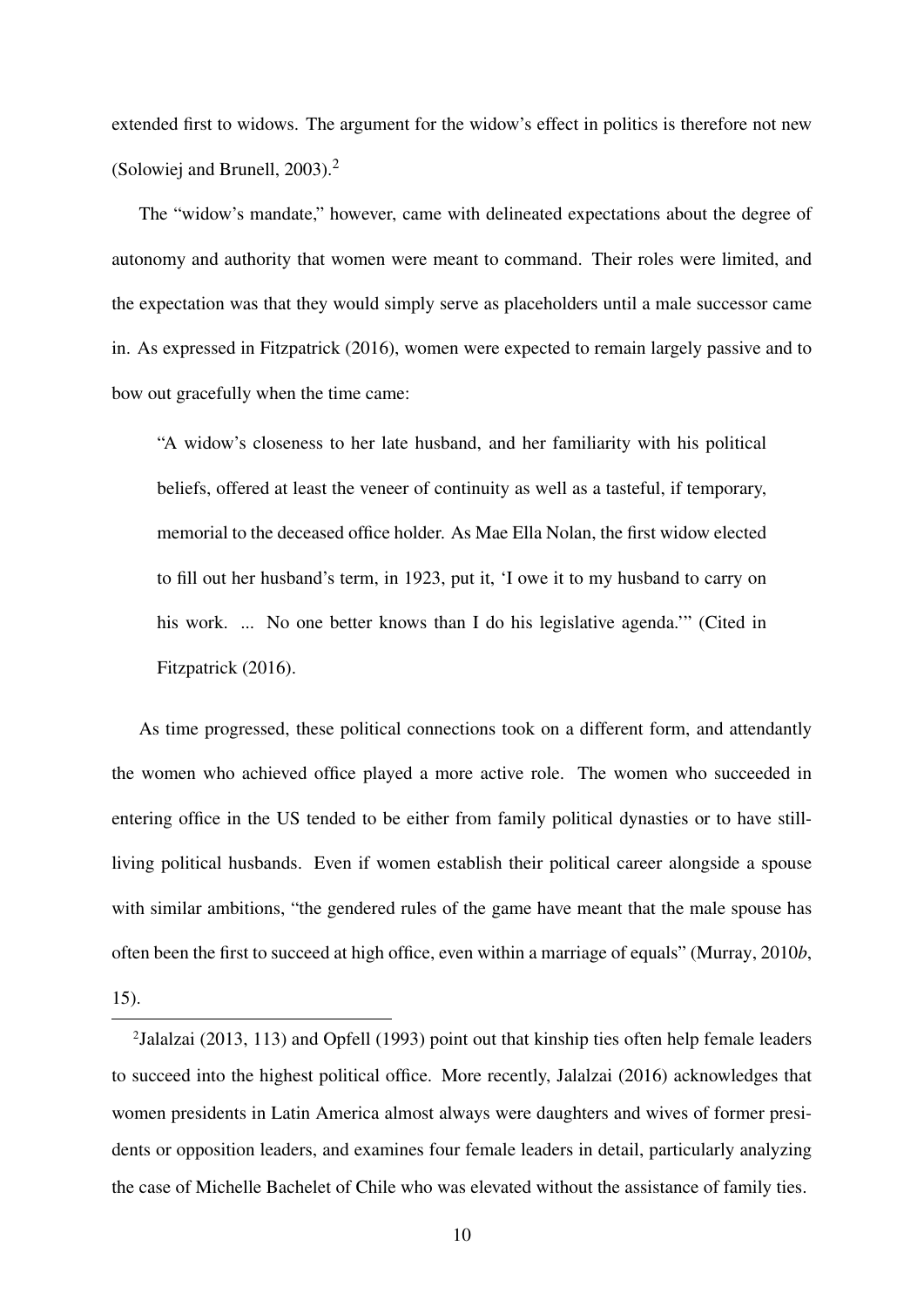extended first to widows. The argument for the widow's effect in politics is therefore not new [\(Solowiej and Brunell,](#page-33-0) [2003\)](#page-33-0)[.2](#page-10-0)

The "widow's mandate," however, came with delineated expectations about the degree of autonomy and authority that women were meant to command. Their roles were limited, and the expectation was that they would simply serve as placeholders until a male successor came in. As expressed in [Fitzpatrick](#page-30-7) [\(2016\)](#page-30-7), women were expected to remain largely passive and to bow out gracefully when the time came:

"A widow's closeness to her late husband, and her familiarity with his political beliefs, offered at least the veneer of continuity as well as a tasteful, if temporary, memorial to the deceased office holder. As Mae Ella Nolan, the first widow elected to fill out her husband's term, in 1923, put it, 'I owe it to my husband to carry on his work. ... No one better knows than I do his legislative agenda.'" (Cited in [Fitzpatrick](#page-30-7) [\(2016\)](#page-30-7).

As time progressed, these political connections took on a different form, and attendantly the women who achieved office played a more active role. The women who succeeded in entering office in the US tended to be either from family political dynasties or to have stillliving political husbands. Even if women establish their political career alongside a spouse with similar ambitions, "the gendered rules of the game have meant that the male spouse has often been the first to succeed at high office, even within a marriage of equals" [\(Murray,](#page-32-7) [2010](#page-32-7)*b*, 15).

<span id="page-10-0"></span>[<sup>2</sup>Jalalzai](#page-31-0) [\(2013,](#page-31-0) 113) and [Opfell](#page-32-0) [\(1993\)](#page-32-0) point out that kinship ties often help female leaders to succeed into the highest political office. More recently, [Jalalzai](#page-31-1) [\(2016\)](#page-31-1) acknowledges that women presidents in Latin America almost always were daughters and wives of former presidents or opposition leaders, and examines four female leaders in detail, particularly analyzing the case of Michelle Bachelet of Chile who was elevated without the assistance of family ties.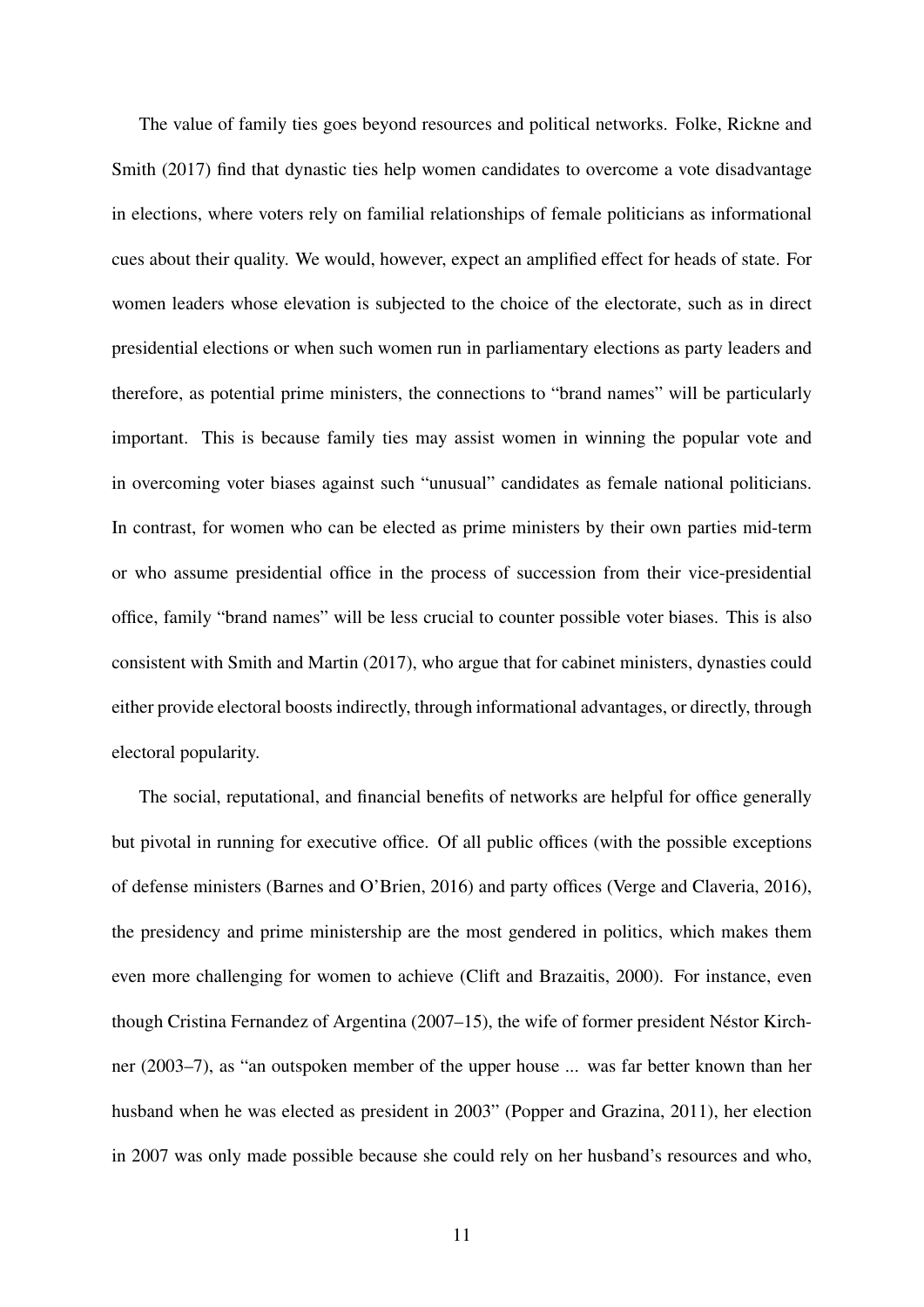The value of family ties goes beyond resources and political networks. [Folke, Rickne and](#page-30-0) [Smith](#page-30-0) [\(2017\)](#page-30-0) find that dynastic ties help women candidates to overcome a vote disadvantage in elections, where voters rely on familial relationships of female politicians as informational cues about their quality. We would, however, expect an amplified effect for heads of state. For women leaders whose elevation is subjected to the choice of the electorate, such as in direct presidential elections or when such women run in parliamentary elections as party leaders and therefore, as potential prime ministers, the connections to "brand names" will be particularly important. This is because family ties may assist women in winning the popular vote and in overcoming voter biases against such "unusual" candidates as female national politicians. In contrast, for women who can be elected as prime ministers by their own parties mid-term or who assume presidential office in the process of succession from their vice-presidential office, family "brand names" will be less crucial to counter possible voter biases. This is also consistent with [Smith and Martin](#page-33-5) [\(2017\)](#page-33-5), who argue that for cabinet ministers, dynasties could either provide electoral boosts indirectly, through informational advantages, or directly, through electoral popularity.

The social, reputational, and financial benefits of networks are helpful for office generally but pivotal in running for executive office. Of all public offices (with the possible exceptions of defense ministers [\(Barnes and O'Brien,](#page-29-4) [2016\)](#page-29-4) and party offices [\(Verge and Claveria,](#page-34-1) [2016\)](#page-34-1), the presidency and prime ministership are the most gendered in politics, which makes them even more challenging for women to achieve [\(Clift and Brazaitis,](#page-30-8) [2000\)](#page-30-8). For instance, even though Cristina Fernandez of Argentina (2007–15), the wife of former president Néstor Kirchner (2003–7), as "an outspoken member of the upper house ... was far better known than her husband when he was elected as president in 2003" [\(Popper and Grazina,](#page-32-8) [2011\)](#page-32-8), her election in 2007 was only made possible because she could rely on her husband's resources and who,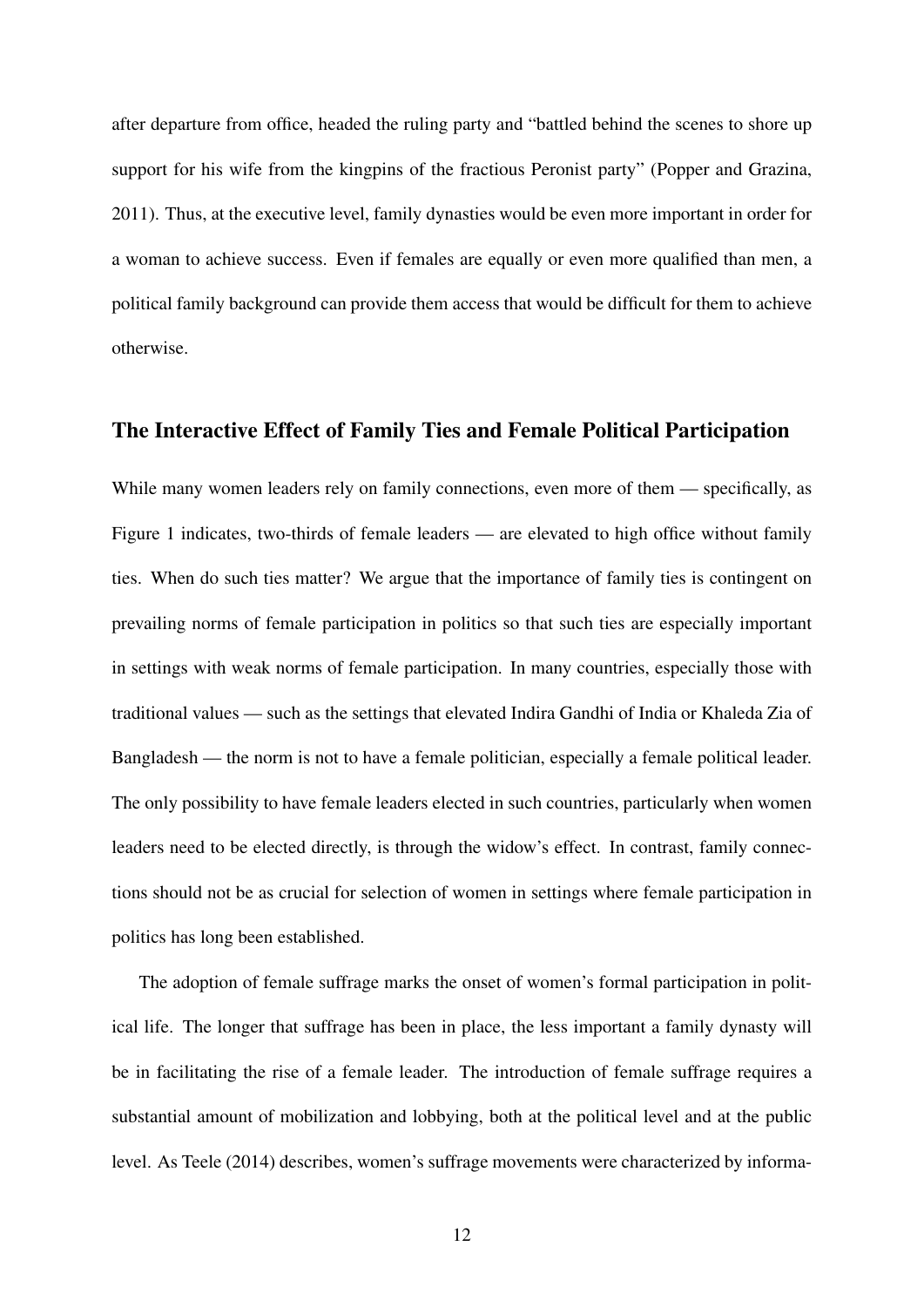after departure from office, headed the ruling party and "battled behind the scenes to shore up support for his wife from the kingpins of the fractious Peronist party" [\(Popper and Grazina,](#page-32-8) [2011\)](#page-32-8). Thus, at the executive level, family dynasties would be even more important in order for a woman to achieve success. Even if females are equally or even more qualified than men, a political family background can provide them access that would be difficult for them to achieve otherwise.

#### The Interactive Effect of Family Ties and Female Political Participation

While many women leaders rely on family connections, even more of them — specifically, as Figure [1](#page-35-0) indicates, two-thirds of female leaders — are elevated to high office without family ties. When do such ties matter? We argue that the importance of family ties is contingent on prevailing norms of female participation in politics so that such ties are especially important in settings with weak norms of female participation. In many countries, especially those with traditional values — such as the settings that elevated Indira Gandhi of India or Khaleda Zia of Bangladesh — the norm is not to have a female politician, especially a female political leader. The only possibility to have female leaders elected in such countries, particularly when women leaders need to be elected directly, is through the widow's effect. In contrast, family connections should not be as crucial for selection of women in settings where female participation in politics has long been established.

The adoption of female suffrage marks the onset of women's formal participation in political life. The longer that suffrage has been in place, the less important a family dynasty will be in facilitating the rise of a female leader. The introduction of female suffrage requires a substantial amount of mobilization and lobbying, both at the political level and at the public level. As [Teele](#page-33-6) [\(2014\)](#page-33-6) describes, women's suffrage movements were characterized by informa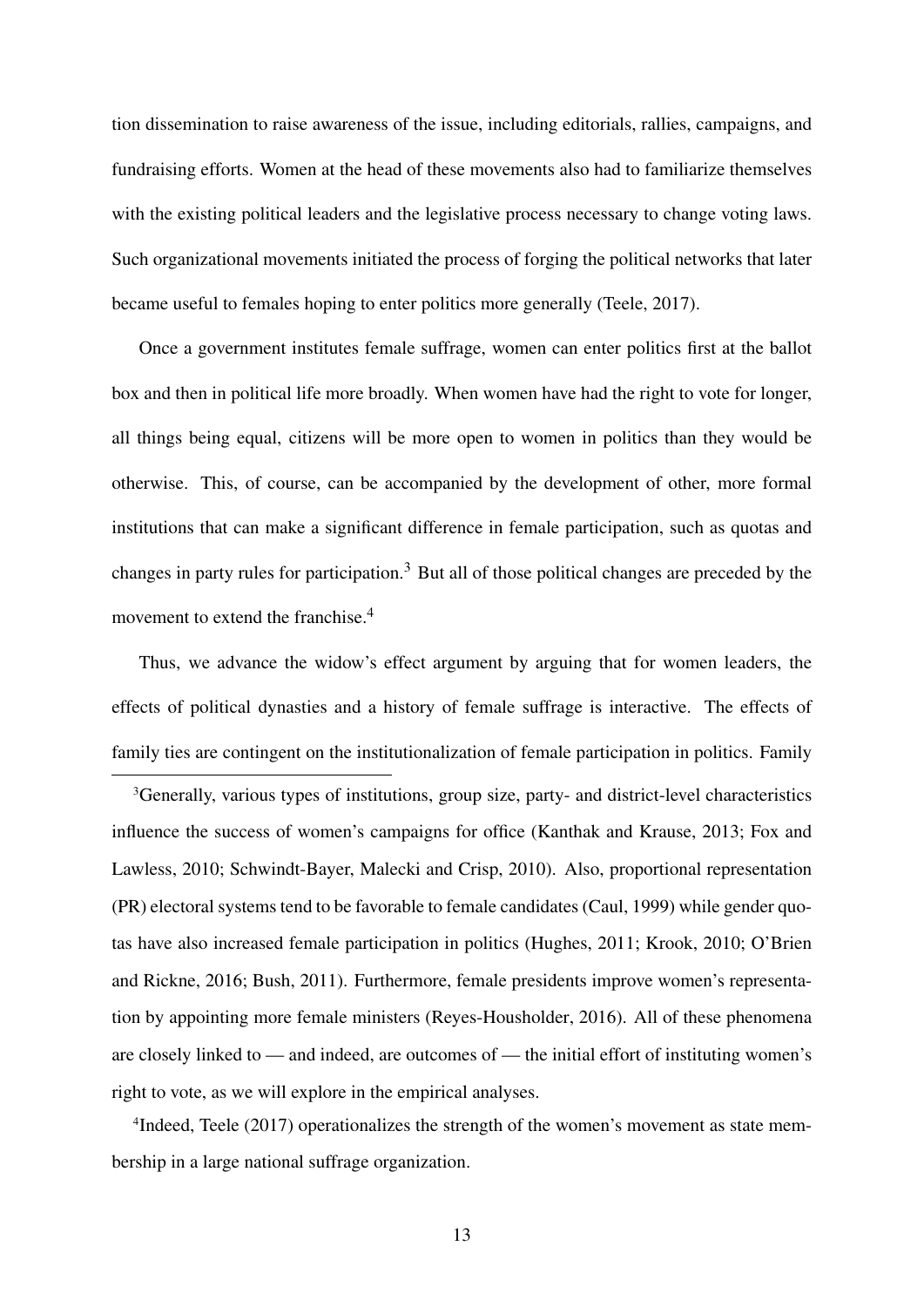tion dissemination to raise awareness of the issue, including editorials, rallies, campaigns, and fundraising efforts. Women at the head of these movements also had to familiarize themselves with the existing political leaders and the legislative process necessary to change voting laws. Such organizational movements initiated the process of forging the political networks that later became useful to females hoping to enter politics more generally [\(Teele,](#page-33-7) [2017\)](#page-33-7).

Once a government institutes female suffrage, women can enter politics first at the ballot box and then in political life more broadly. When women have had the right to vote for longer, all things being equal, citizens will be more open to women in politics than they would be otherwise. This, of course, can be accompanied by the development of other, more formal institutions that can make a significant difference in female participation, such as quotas and changes in party rules for participation[.3](#page-13-0) But all of those political changes are preceded by the movement to extend the franchise.<sup>4</sup>

Thus, we advance the widow's effect argument by arguing that for women leaders, the effects of political dynasties and a history of female suffrage is interactive. The effects of family ties are contingent on the institutionalization of female participation in politics. Family

<span id="page-13-0"></span>3Generally, various types of institutions, group size, party- and district-level characteristics influence the success of women's campaigns for office [\(Kanthak and Krause,](#page-31-6) [2013;](#page-31-6) [Fox and](#page-30-9) [Lawless,](#page-30-9) [2010;](#page-30-9) [Schwindt-Bayer, Malecki and Crisp,](#page-33-8) [2010\)](#page-33-8). Also, proportional representation (PR) electoral systems tend to be favorable to female candidates [\(Caul,](#page-30-10) [1999\)](#page-30-10) while gender quotas have also increased female participation in politics [\(Hughes,](#page-31-7) [2011;](#page-31-7) [Krook,](#page-31-8) [2010;](#page-31-8) [O'Brien](#page-32-9) [and Rickne,](#page-32-9) [2016;](#page-32-9) [Bush,](#page-29-5) [2011\)](#page-29-5). Furthermore, female presidents improve women's representation by appointing more female ministers [\(Reyes-Housholder,](#page-33-9) [2016\)](#page-33-9). All of these phenomena are closely linked to — and indeed, are outcomes of — the initial effort of instituting women's right to vote, as we will explore in the empirical analyses.

<span id="page-13-1"></span>4Indeed, [Teele](#page-33-7) [\(2017\)](#page-33-7) operationalizes the strength of the women's movement as state membership in a large national suffrage organization.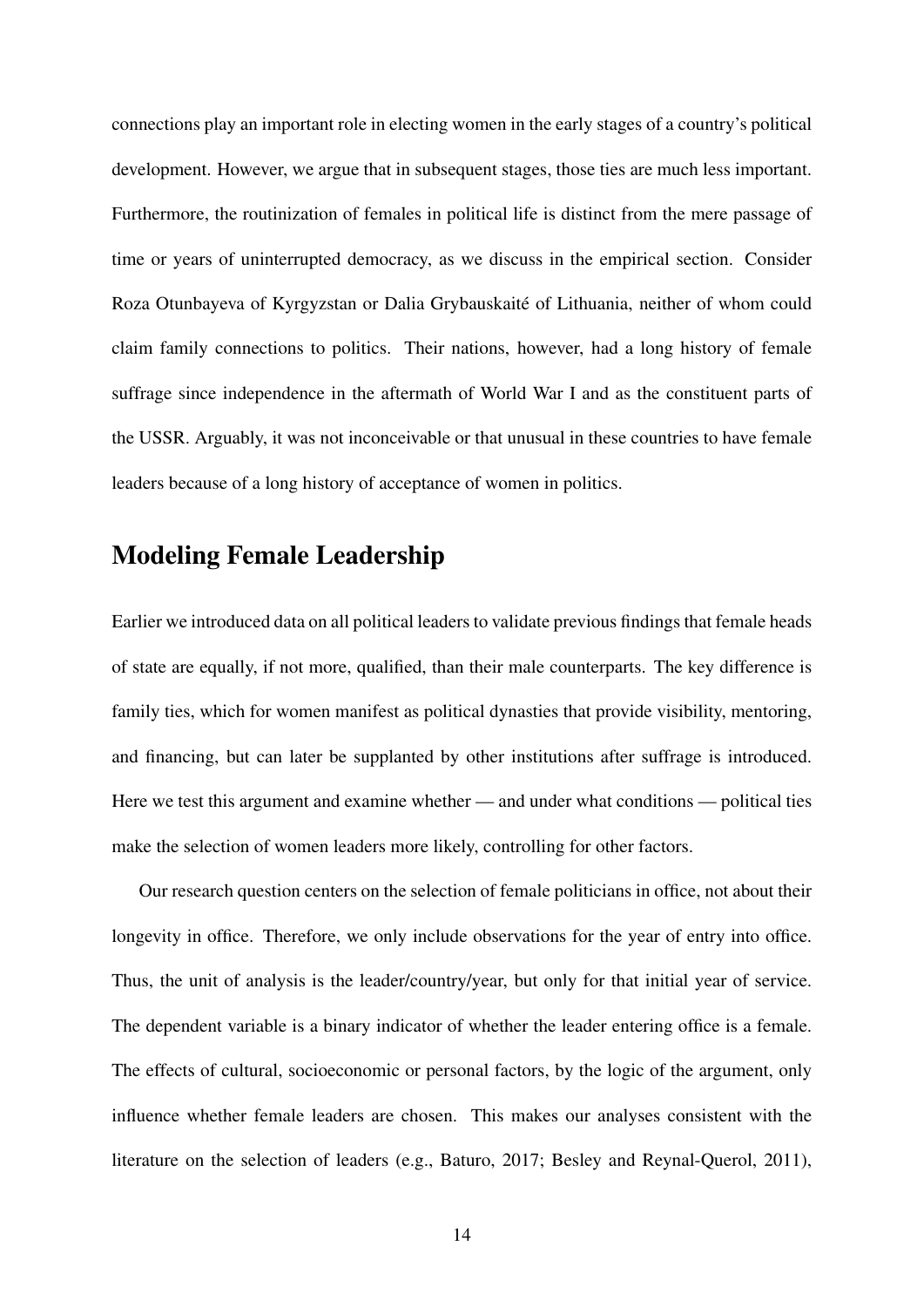connections play an important role in electing women in the early stages of a country's political development. However, we argue that in subsequent stages, those ties are much less important. Furthermore, the routinization of females in political life is distinct from the mere passage of time or years of uninterrupted democracy, as we discuss in the empirical section. Consider Roza Otunbayeva of Kyrgyzstan or Dalia Grybauskaité of Lithuania, neither of whom could claim family connections to politics. Their nations, however, had a long history of female suffrage since independence in the aftermath of World War I and as the constituent parts of the USSR. Arguably, it was not inconceivable or that unusual in these countries to have female leaders because of a long history of acceptance of women in politics.

## Modeling Female Leadership

Earlier we introduced data on all political leaders to validate previous findings that female heads of state are equally, if not more, qualified, than their male counterparts. The key difference is family ties, which for women manifest as political dynasties that provide visibility, mentoring, and financing, but can later be supplanted by other institutions after suffrage is introduced. Here we test this argument and examine whether — and under what conditions — political ties make the selection of women leaders more likely, controlling for other factors.

Our research question centers on the selection of female politicians in office, not about their longevity in office. Therefore, we only include observations for the year of entry into office. Thus, the unit of analysis is the leader/country/year, but only for that initial year of service. The dependent variable is a binary indicator of whether the leader entering office is a female. The effects of cultural, socioeconomic or personal factors, by the logic of the argument, only influence whether female leaders are chosen. This makes our analyses consistent with the literature on the selection of leaders (e.g., [Baturo,](#page-29-6) [2017;](#page-29-6) [Besley and Reynal-Querol,](#page-29-7) [2011\)](#page-29-7),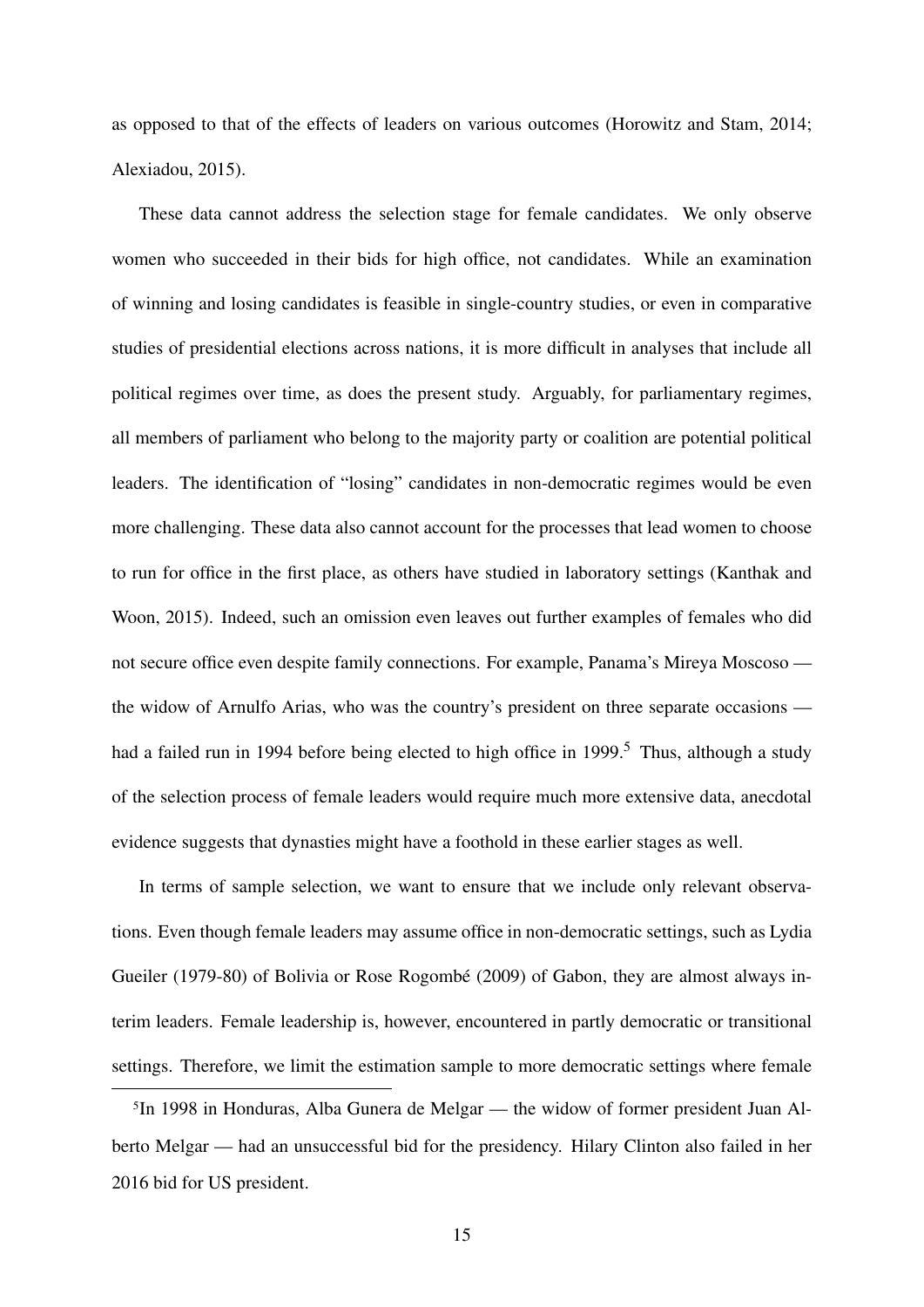as opposed to that of the effects of leaders on various outcomes [\(Horowitz and Stam,](#page-31-9) [2014;](#page-31-9) [Alexiadou,](#page-29-8) [2015\)](#page-29-8).

These data cannot address the selection stage for female candidates. We only observe women who succeeded in their bids for high office, not candidates. While an examination of winning and losing candidates is feasible in single-country studies, or even in comparative studies of presidential elections across nations, it is more difficult in analyses that include all political regimes over time, as does the present study. Arguably, for parliamentary regimes, all members of parliament who belong to the majority party or coalition are potential political leaders. The identification of "losing" candidates in non-democratic regimes would be even more challenging. These data also cannot account for the processes that lead women to choose to run for office in the first place, as others have studied in laboratory settings [\(Kanthak and](#page-31-3) [Woon,](#page-31-3) [2015\)](#page-31-3). Indeed, such an omission even leaves out further examples of females who did not secure office even despite family connections. For example, Panama's Mireya Moscoso the widow of Arnulfo Arias, who was the country's president on three separate occasions — had a failed run in 1994 before being elected to high office in 1999.<sup>[5](#page-15-0)</sup> Thus, although a study of the selection process of female leaders would require much more extensive data, anecdotal evidence suggests that dynasties might have a foothold in these earlier stages as well.

In terms of sample selection, we want to ensure that we include only relevant observations. Even though female leaders may assume office in non-democratic settings, such as Lydia Gueiler (1979-80) of Bolivia or Rose Rogombé (2009) of Gabon, they are almost always interim leaders. Female leadership is, however, encountered in partly democratic or transitional settings. Therefore, we limit the estimation sample to more democratic settings where female

<span id="page-15-0"></span>5In 1998 in Honduras, Alba Gunera de Melgar — the widow of former president Juan Alberto Melgar — had an unsuccessful bid for the presidency. Hilary Clinton also failed in her 2016 bid for US president.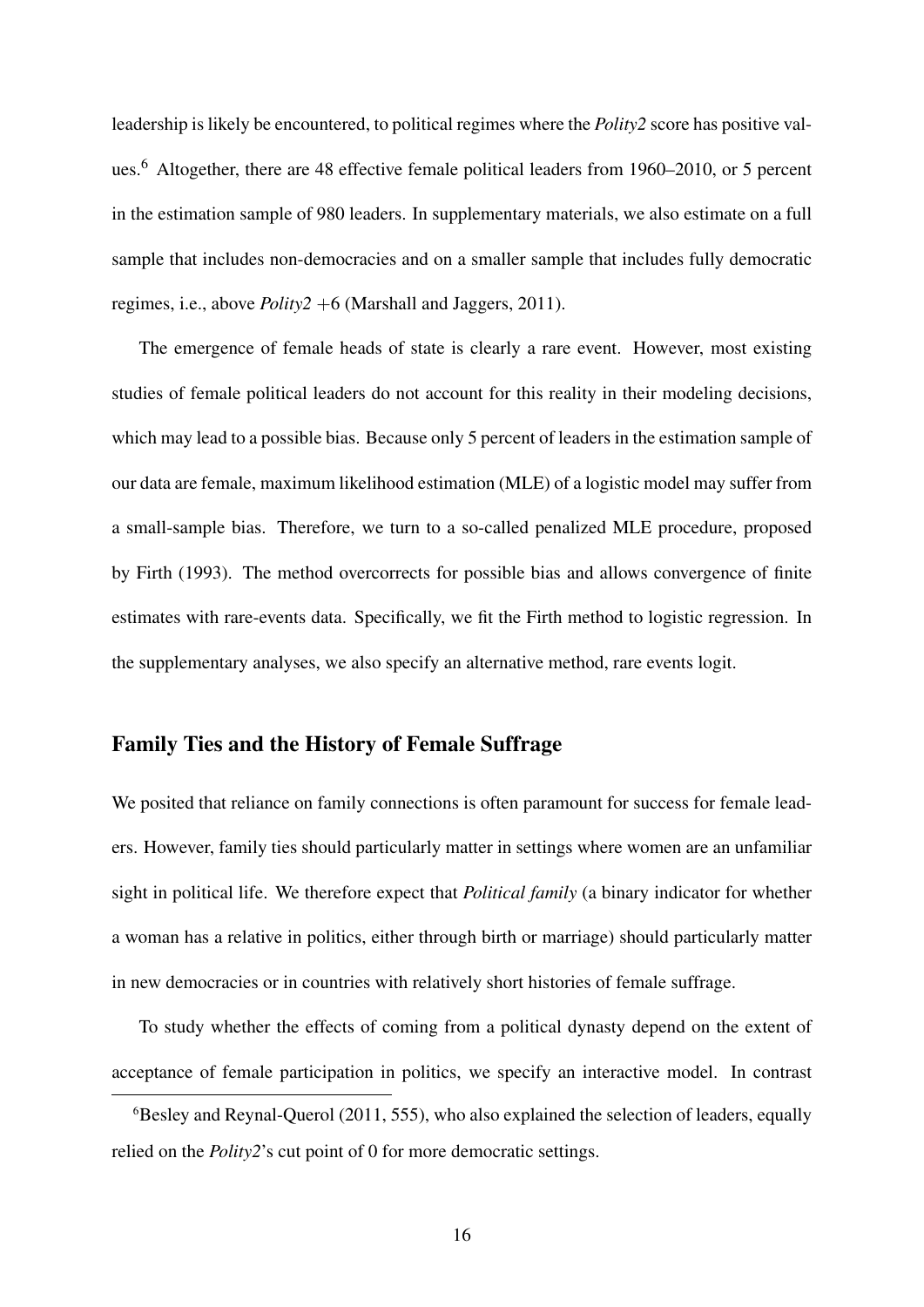leadership is likely be encountered, to political regimes where the *Polity2* score has positive values.<sup>6</sup> Altogether, there are 48 effective female political leaders from 1960–2010, or 5 percent in the estimation sample of 980 leaders. In supplementary materials, we also estimate on a full sample that includes non-democracies and on a smaller sample that includes fully democratic regimes, i.e., above *Polity2* +6 [\(Marshall and Jaggers,](#page-32-10) [2011\)](#page-32-10).

The emergence of female heads of state is clearly a rare event. However, most existing studies of female political leaders do not account for this reality in their modeling decisions, which may lead to a possible bias. Because only 5 percent of leaders in the estimation sample of our data are female, maximum likelihood estimation (MLE) of a logistic model may suffer from a small-sample bias. Therefore, we turn to a so-called penalized MLE procedure, proposed by [Firth](#page-30-11) [\(1993\)](#page-30-11). The method overcorrects for possible bias and allows convergence of finite estimates with rare-events data. Specifically, we fit the Firth method to logistic regression. In the supplementary analyses, we also specify an alternative method, rare events logit.

### Family Ties and the History of Female Suffrage

We posited that reliance on family connections is often paramount for success for female leaders. However, family ties should particularly matter in settings where women are an unfamiliar sight in political life. We therefore expect that *Political family* (a binary indicator for whether a woman has a relative in politics, either through birth or marriage) should particularly matter in new democracies or in countries with relatively short histories of female suffrage.

To study whether the effects of coming from a political dynasty depend on the extent of acceptance of female participation in politics, we specify an interactive model. In contrast

<span id="page-16-0"></span> $6B$ esley and Reynal-Querol [\(2011,](#page-29-7) 555), who also explained the selection of leaders, equally relied on the *Polity2*'s cut point of 0 for more democratic settings.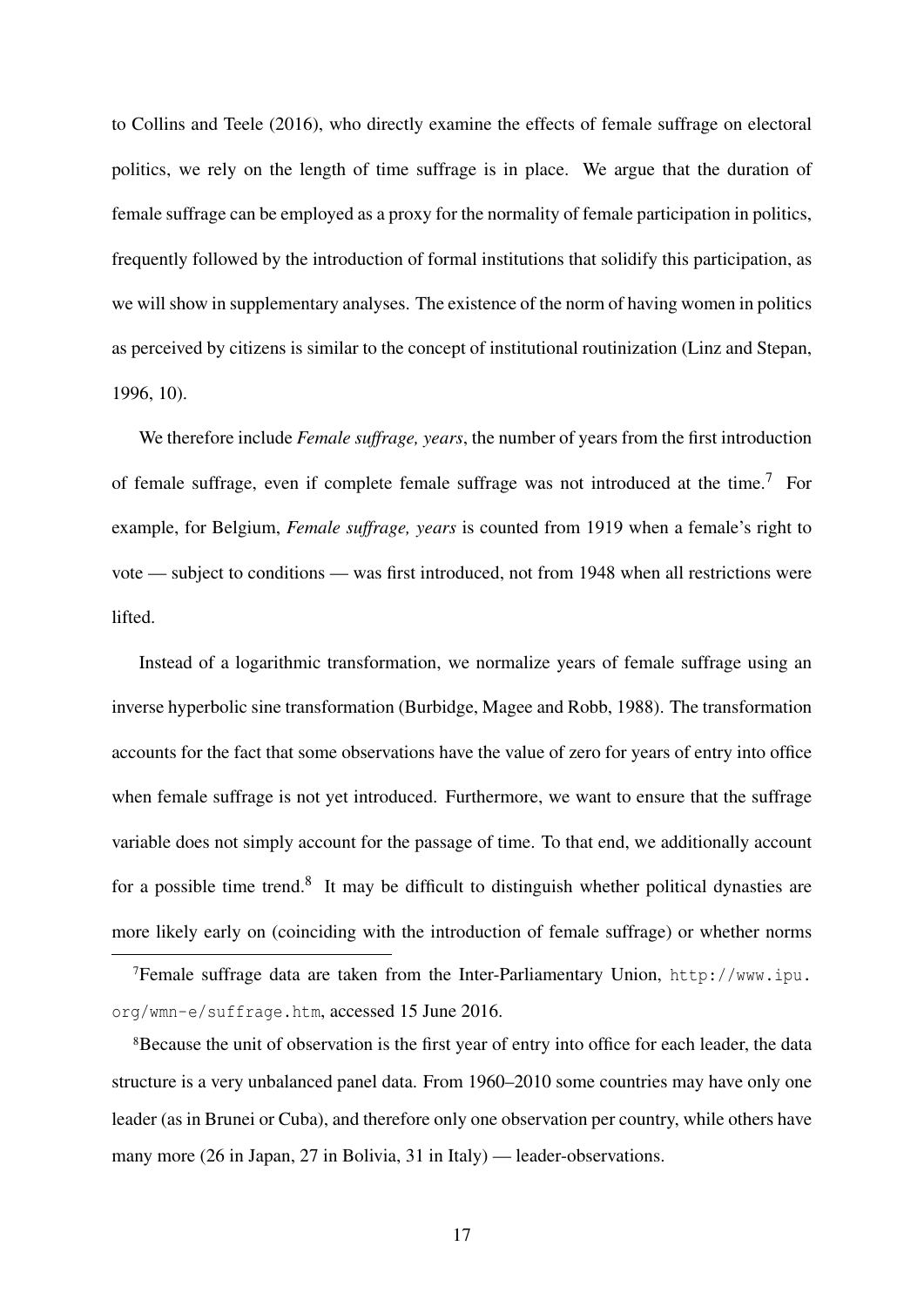to [Collins and Teele](#page-30-6) [\(2016\)](#page-30-6), who directly examine the effects of female suffrage on electoral politics, we rely on the length of time suffrage is in place. We argue that the duration of female suffrage can be employed as a proxy for the normality of female participation in politics, frequently followed by the introduction of formal institutions that solidify this participation, as we will show in supplementary analyses. The existence of the norm of having women in politics as perceived by citizens is similar to the concept of institutional routinization [\(Linz and Stepan,](#page-32-11) [1996,](#page-32-11) 10).

We therefore include *Female suffrage, years*, the number of years from the first introduction of female suffrage, even if complete female suffrage was not introduced at the time.<sup>[7](#page-17-0)</sup> For example, for Belgium, *Female suffrage, years* is counted from 1919 when a female's right to vote — subject to conditions — was first introduced, not from 1948 when all restrictions were lifted.

Instead of a logarithmic transformation, we normalize years of female suffrage using an inverse hyperbolic sine transformation [\(Burbidge, Magee and Robb,](#page-29-9) [1988\)](#page-29-9). The transformation accounts for the fact that some observations have the value of zero for years of entry into office when female suffrage is not yet introduced. Furthermore, we want to ensure that the suffrage variable does not simply account for the passage of time. To that end, we additionally account for a possible time trend.<sup>8</sup> It may be difficult to distinguish whether political dynasties are more likely early on (coinciding with the introduction of female suffrage) or whether norms

<span id="page-17-1"></span><sup>8</sup>Because the unit of observation is the first year of entry into office for each leader, the data structure is a very unbalanced panel data. From 1960–2010 some countries may have only one leader (as in Brunei or Cuba), and therefore only one observation per country, while others have many more (26 in Japan, 27 in Bolivia, 31 in Italy) — leader-observations.

<span id="page-17-0"></span><sup>7</sup>Female suffrage data are taken from the Inter-Parliamentary Union, [http://www.ipu.](http://www.ipu.org/wmn-e/suffrage.htm) [org/wmn-e/suffrage.htm](http://www.ipu.org/wmn-e/suffrage.htm), accessed 15 June 2016.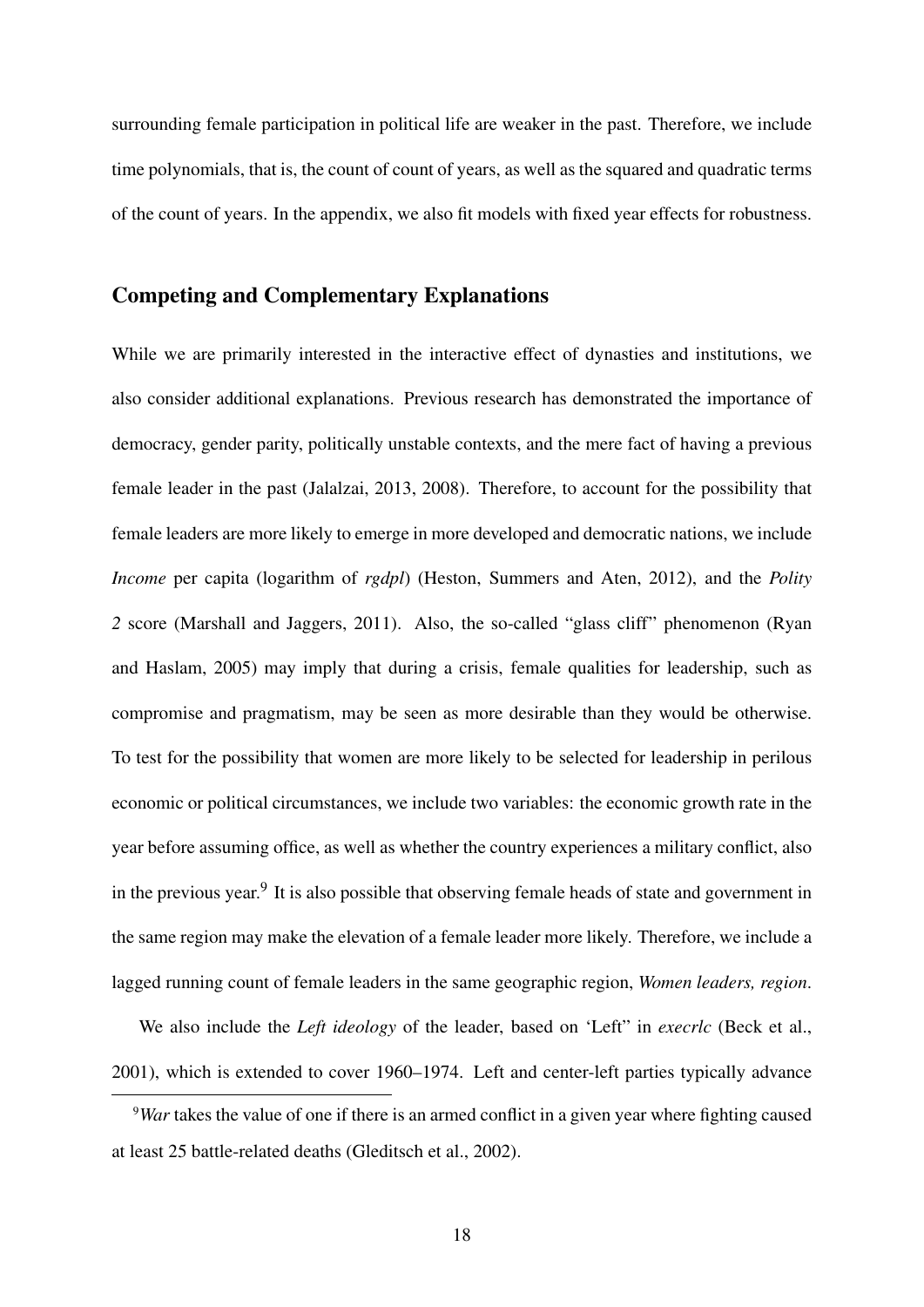surrounding female participation in political life are weaker in the past. Therefore, we include time polynomials, that is, the count of count of years, as well as the squared and quadratic terms of the count of years. In the appendix, we also fit models with fixed year effects for robustness.

## Competing and Complementary Explanations

While we are primarily interested in the interactive effect of dynasties and institutions, we also consider additional explanations. Previous research has demonstrated the importance of democracy, gender parity, politically unstable contexts, and the mere fact of having a previous female leader in the past [\(Jalalzai,](#page-31-0) [2013,](#page-31-0) [2008\)](#page-31-10). Therefore, to account for the possibility that female leaders are more likely to emerge in more developed and democratic nations, we include *Income* per capita (logarithm of *rgdpl*) [\(Heston, Summers and Aten,](#page-31-11) [2012\)](#page-31-11), and the *Polity 2* score [\(Marshall and Jaggers,](#page-32-10) [2011\)](#page-32-10). Also, the so-called "glass cliff" phenomenon [\(Ryan](#page-33-10) [and Haslam,](#page-33-10) [2005\)](#page-33-10) may imply that during a crisis, female qualities for leadership, such as compromise and pragmatism, may be seen as more desirable than they would be otherwise. To test for the possibility that women are more likely to be selected for leadership in perilous economic or political circumstances, we include two variables: the economic growth rate in the year before assuming office, as well as whether the country experiences a military conflict, also in the previous year.<sup>9</sup> It is also possible that observing female heads of state and government in the same region may make the elevation of a female leader more likely. Therefore, we include a lagged running count of female leaders in the same geographic region, *Women leaders, region*.

We also include the *Left ideology* of the leader, based on 'Left" in *execrlc* [\(Beck et al.,](#page-29-10) [2001\)](#page-29-10), which is extended to cover 1960–1974. Left and center-left parties typically advance

<span id="page-18-0"></span><sup>9</sup>*War* takes the value of one if there is an armed conflict in a given year where fighting caused at least 25 battle-related deaths [\(Gleditsch et al.,](#page-31-12) [2002\)](#page-31-12).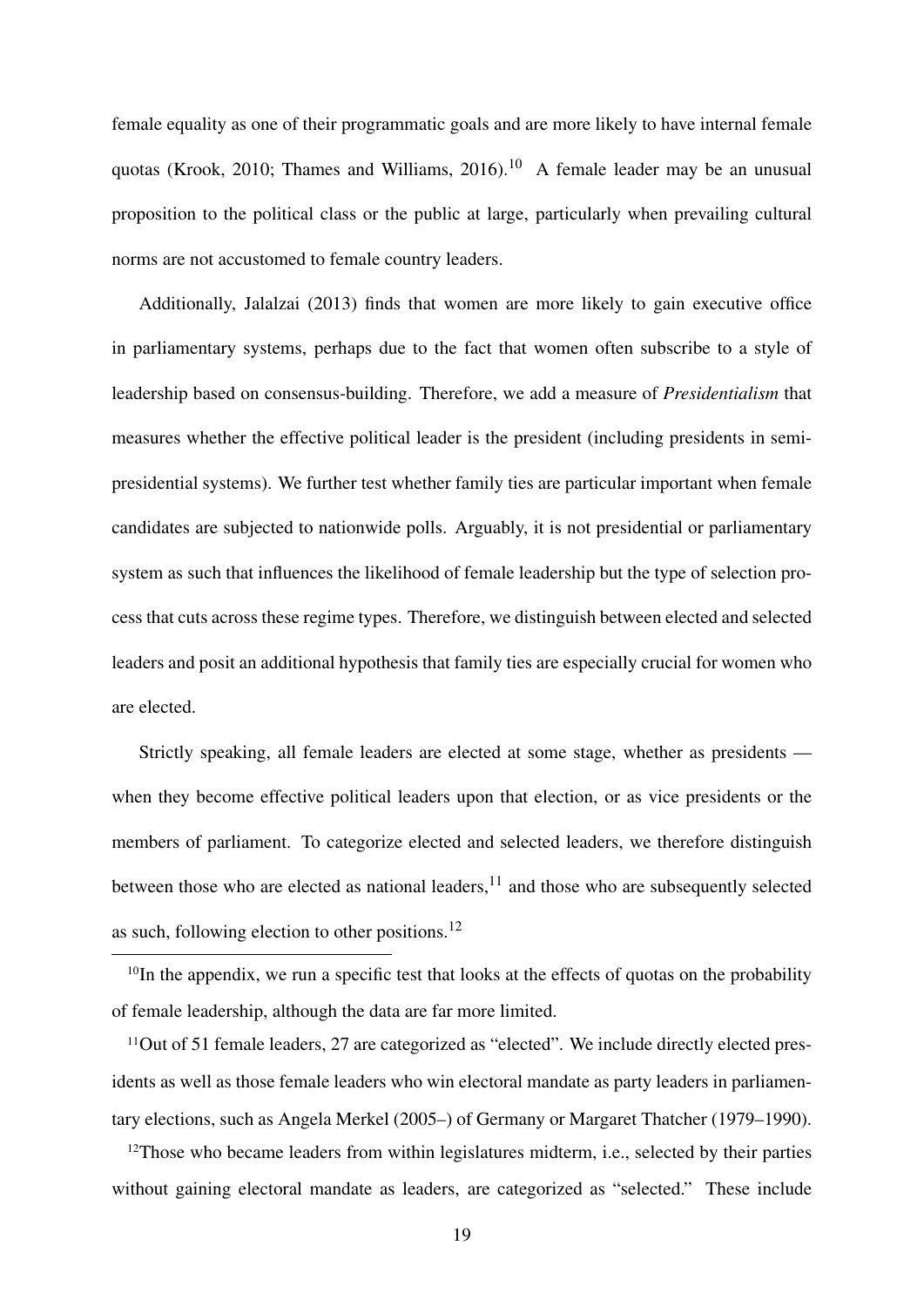female equality as one of their programmatic goals and are more likely to have internal female quotas [\(Krook,](#page-31-8) [2010;](#page-31-8) [Thames and Williams,](#page-33-1) [2016\)](#page-33-1).<sup>10</sup> A female leader may be an unusual proposition to the political class or the public at large, particularly when prevailing cultural norms are not accustomed to female country leaders.

Additionally, [Jalalzai](#page-31-0) [\(2013\)](#page-31-0) finds that women are more likely to gain executive office in parliamentary systems, perhaps due to the fact that women often subscribe to a style of leadership based on consensus-building. Therefore, we add a measure of *Presidentialism* that measures whether the effective political leader is the president (including presidents in semipresidential systems). We further test whether family ties are particular important when female candidates are subjected to nationwide polls. Arguably, it is not presidential or parliamentary system as such that influences the likelihood of female leadership but the type of selection process that cuts across these regime types. Therefore, we distinguish between elected and selected leaders and posit an additional hypothesis that family ties are especially crucial for women who are elected.

Strictly speaking, all female leaders are elected at some stage, whether as presidents when they become effective political leaders upon that election, or as vice presidents or the members of parliament. To categorize elected and selected leaders, we therefore distinguish between those who are elected as national leaders, $11$  and those who are subsequently selected as such, following election to other positions. $^{12}$ 

<span id="page-19-0"></span><sup>10</sup>In the appendix, we run a specific test that looks at the effects of quotas on the probability of female leadership, although the data are far more limited.

<span id="page-19-1"></span><sup>11</sup>Out of 51 female leaders, 27 are categorized as "elected". We include directly elected presidents as well as those female leaders who win electoral mandate as party leaders in parliamentary elections, such as Angela Merkel (2005–) of Germany or Margaret Thatcher (1979–1990).

<span id="page-19-2"></span><sup>12</sup>Those who became leaders from within legislatures midterm, i.e., selected by their parties without gaining electoral mandate as leaders, are categorized as "selected." These include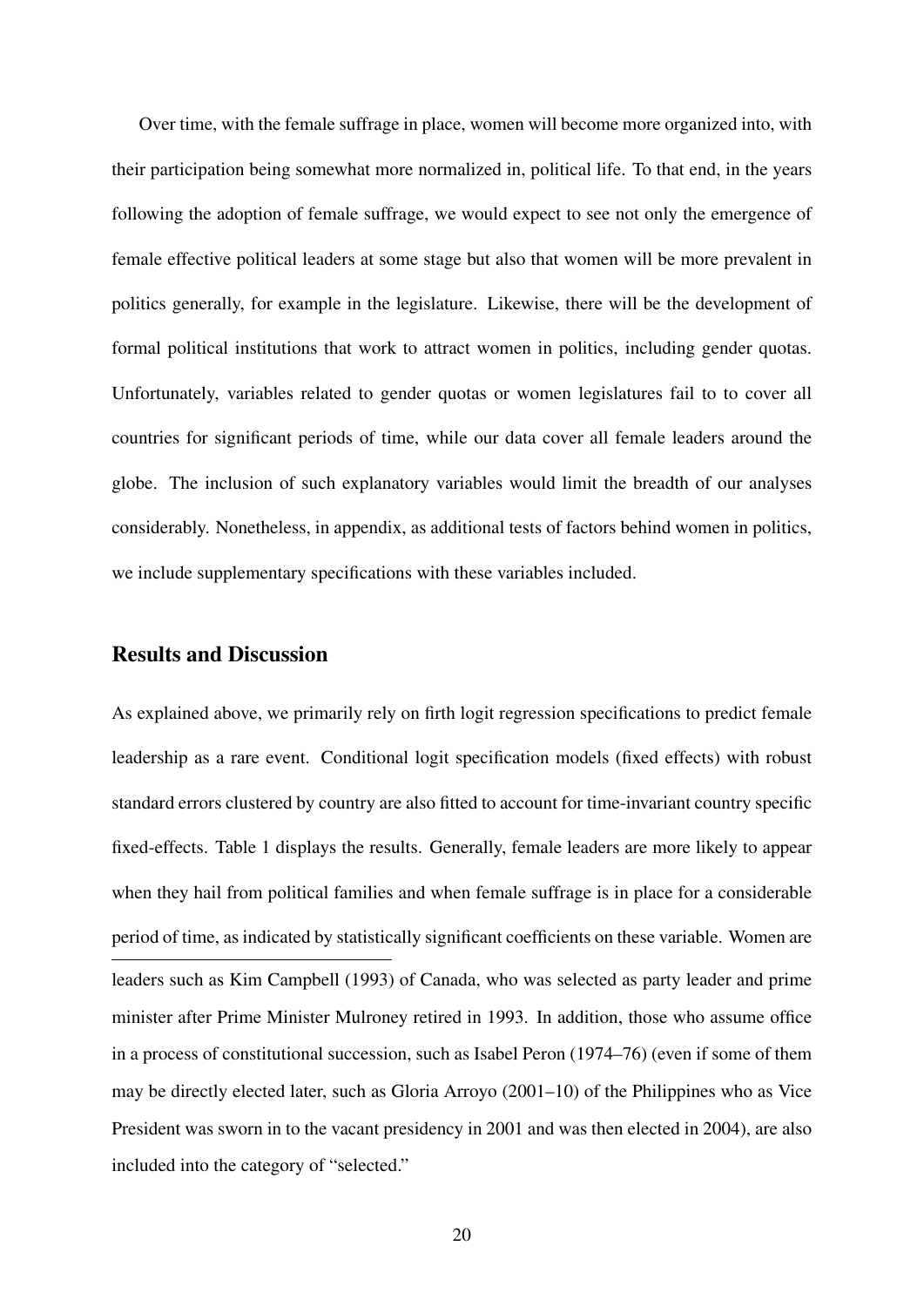Over time, with the female suffrage in place, women will become more organized into, with their participation being somewhat more normalized in, political life. To that end, in the years following the adoption of female suffrage, we would expect to see not only the emergence of female effective political leaders at some stage but also that women will be more prevalent in politics generally, for example in the legislature. Likewise, there will be the development of formal political institutions that work to attract women in politics, including gender quotas. Unfortunately, variables related to gender quotas or women legislatures fail to to cover all countries for significant periods of time, while our data cover all female leaders around the globe. The inclusion of such explanatory variables would limit the breadth of our analyses considerably. Nonetheless, in appendix, as additional tests of factors behind women in politics, we include supplementary specifications with these variables included.

#### Results and Discussion

As explained above, we primarily rely on firth logit regression specifications to predict female leadership as a rare event. Conditional logit specification models (fixed effects) with robust standard errors clustered by country are also fitted to account for time-invariant country specific fixed-effects. Table [1](#page-36-0) displays the results. Generally, female leaders are more likely to appear when they hail from political families and when female suffrage is in place for a considerable period of time, as indicated by statistically significant coefficients on these variable. Women are leaders such as Kim Campbell (1993) of Canada, who was selected as party leader and prime minister after Prime Minister Mulroney retired in 1993. In addition, those who assume office in a process of constitutional succession, such as Isabel Peron (1974–76) (even if some of them may be directly elected later, such as Gloria Arroyo (2001–10) of the Philippines who as Vice President was sworn in to the vacant presidency in 2001 and was then elected in 2004), are also included into the category of "selected."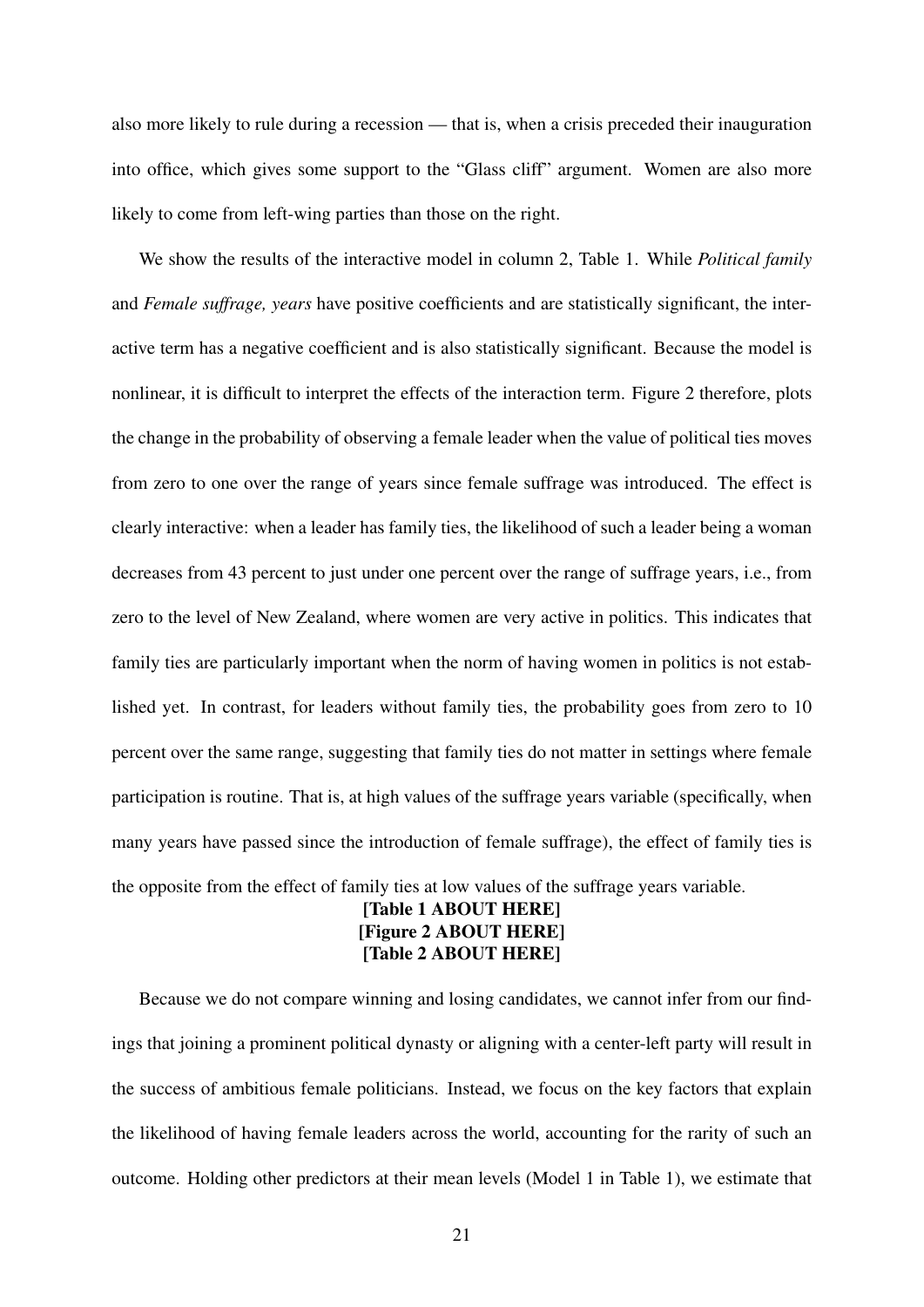also more likely to rule during a recession — that is, when a crisis preceded their inauguration into office, which gives some support to the "Glass cliff" argument. Women are also more likely to come from left-wing parties than those on the right.

We show the results of the interactive model in column 2, Table [1.](#page-36-0) While *Political family* and *Female suffrage, years* have positive coefficients and are statistically significant, the interactive term has a negative coefficient and is also statistically significant. Because the model is nonlinear, it is difficult to interpret the effects of the interaction term. Figure [2](#page-38-0) therefore, plots the change in the probability of observing a female leader when the value of political ties moves from zero to one over the range of years since female suffrage was introduced. The effect is clearly interactive: when a leader has family ties, the likelihood of such a leader being a woman decreases from 43 percent to just under one percent over the range of suffrage years, i.e., from zero to the level of New Zealand, where women are very active in politics. This indicates that family ties are particularly important when the norm of having women in politics is not established yet. In contrast, for leaders without family ties, the probability goes from zero to 10 percent over the same range, suggesting that family ties do not matter in settings where female participation is routine. That is, at high values of the suffrage years variable (specifically, when many years have passed since the introduction of female suffrage), the effect of family ties is the opposite from the effect of family ties at low values of the suffrage years variable.

#### [Table [1](#page-36-0) ABOUT HERE] [Figure [2](#page-38-0) ABOUT HERE] [Table [2](#page-37-0) ABOUT HERE]

Because we do not compare winning and losing candidates, we cannot infer from our findings that joining a prominent political dynasty or aligning with a center-left party will result in the success of ambitious female politicians. Instead, we focus on the key factors that explain the likelihood of having female leaders across the world, accounting for the rarity of such an outcome. Holding other predictors at their mean levels (Model 1 in Table [1\)](#page-36-0), we estimate that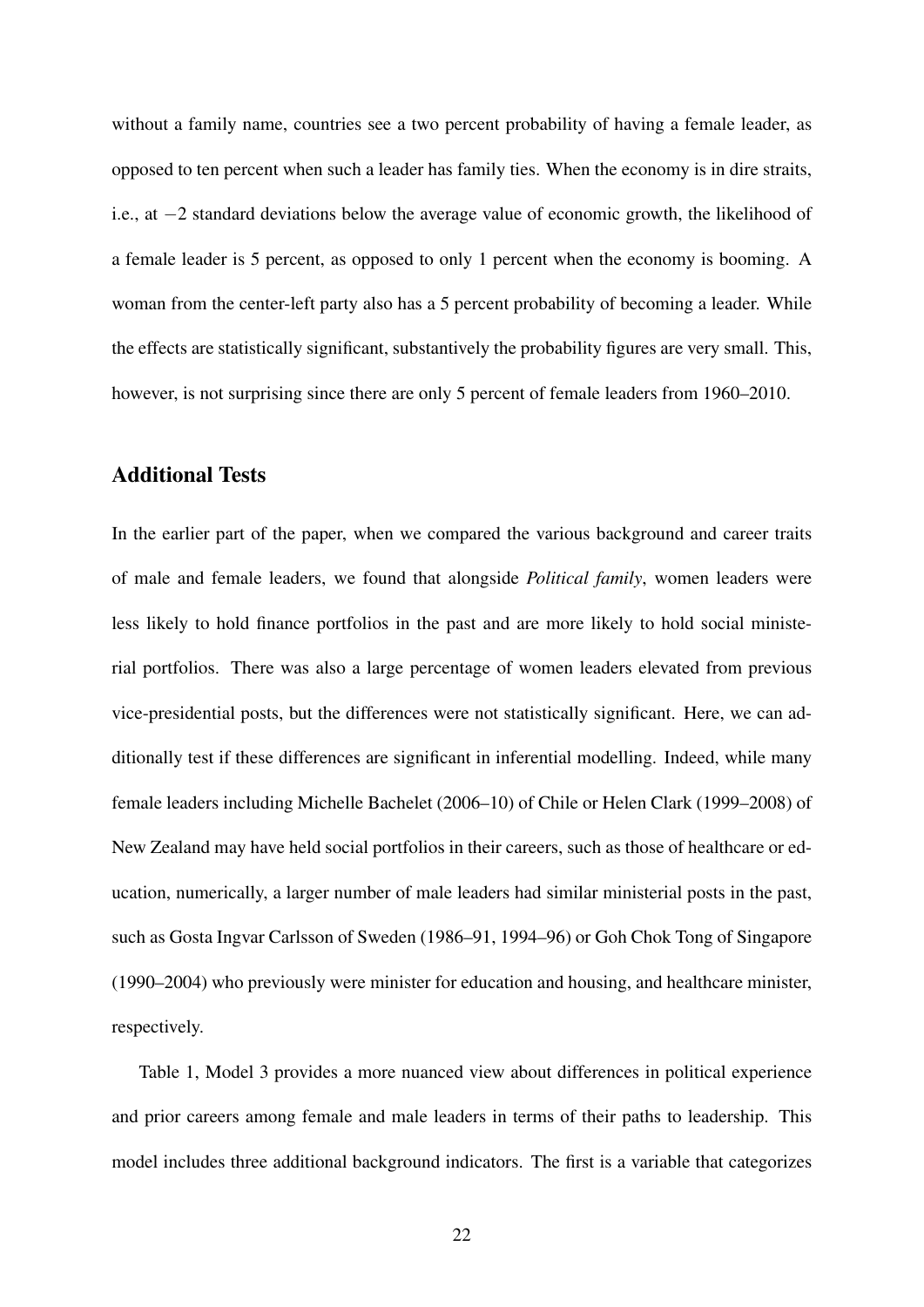without a family name, countries see a two percent probability of having a female leader, as opposed to ten percent when such a leader has family ties. When the economy is in dire straits, i.e., at  $-2$  standard deviations below the average value of economic growth, the likelihood of a female leader is 5 percent, as opposed to only 1 percent when the economy is booming. A woman from the center-left party also has a 5 percent probability of becoming a leader. While the effects are statistically significant, substantively the probability figures are very small. This, however, is not surprising since there are only 5 percent of female leaders from 1960–2010.

#### Additional Tests

In the earlier part of the paper, when we compared the various background and career traits of male and female leaders, we found that alongside *Political family*, women leaders were less likely to hold finance portfolios in the past and are more likely to hold social ministerial portfolios. There was also a large percentage of women leaders elevated from previous vice-presidential posts, but the differences were not statistically significant. Here, we can additionally test if these differences are significant in inferential modelling. Indeed, while many female leaders including Michelle Bachelet (2006–10) of Chile or Helen Clark (1999–2008) of New Zealand may have held social portfolios in their careers, such as those of healthcare or education, numerically, a larger number of male leaders had similar ministerial posts in the past, such as Gosta Ingvar Carlsson of Sweden (1986–91, 1994–96) or Goh Chok Tong of Singapore (1990–2004) who previously were minister for education and housing, and healthcare minister, respectively.

Table [1,](#page-36-0) Model 3 provides a more nuanced view about differences in political experience and prior careers among female and male leaders in terms of their paths to leadership. This model includes three additional background indicators. The first is a variable that categorizes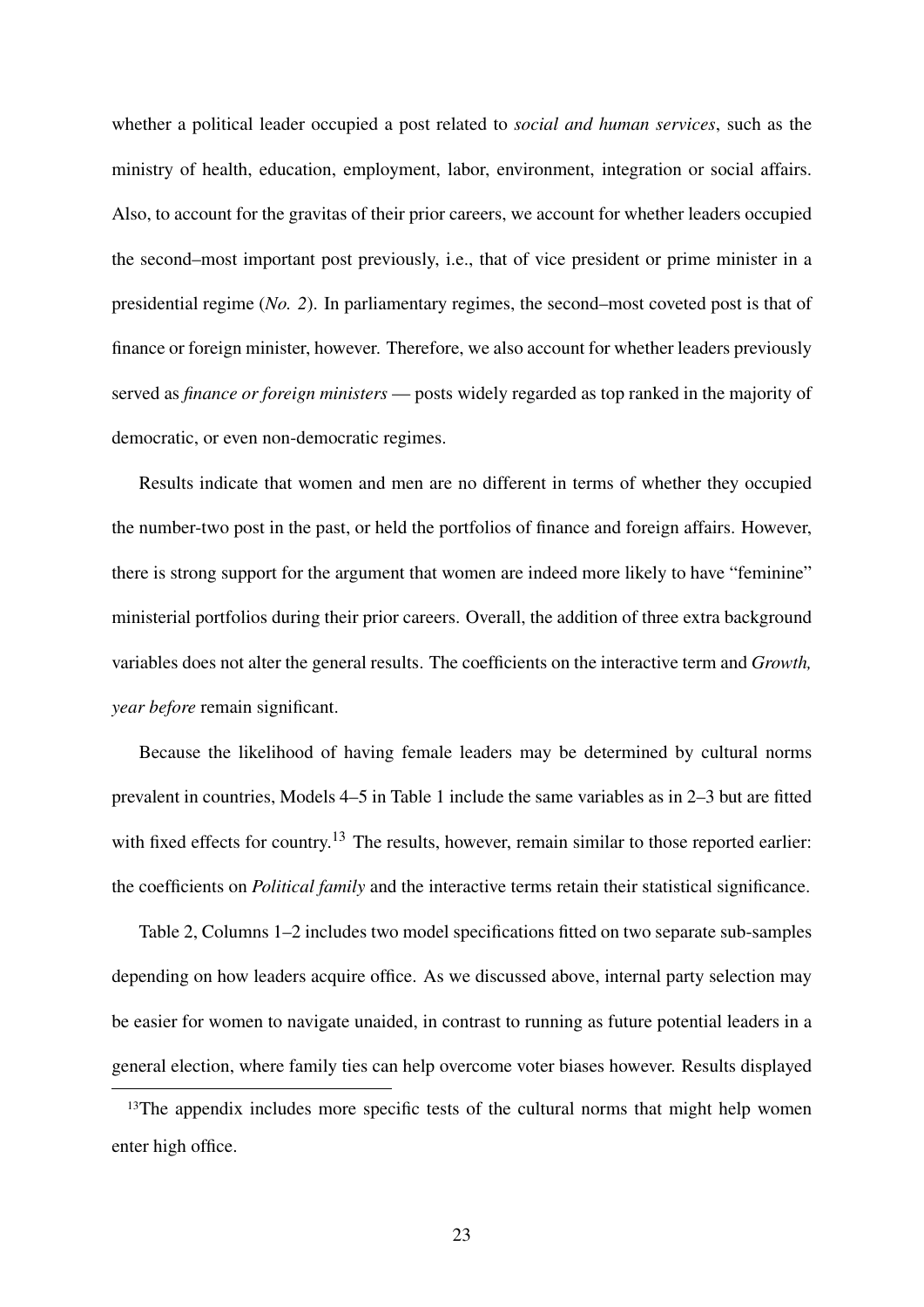whether a political leader occupied a post related to *social and human services*, such as the ministry of health, education, employment, labor, environment, integration or social affairs. Also, to account for the gravitas of their prior careers, we account for whether leaders occupied the second–most important post previously, i.e., that of vice president or prime minister in a presidential regime (*No. 2*). In parliamentary regimes, the second–most coveted post is that of finance or foreign minister, however. Therefore, we also account for whether leaders previously served as *finance or foreign ministers* — posts widely regarded as top ranked in the majority of democratic, or even non-democratic regimes.

Results indicate that women and men are no different in terms of whether they occupied the number-two post in the past, or held the portfolios of finance and foreign affairs. However, there is strong support for the argument that women are indeed more likely to have "feminine" ministerial portfolios during their prior careers. Overall, the addition of three extra background variables does not alter the general results. The coefficients on the interactive term and *Growth, year before* remain significant.

Because the likelihood of having female leaders may be determined by cultural norms prevalent in countries, Models 4–5 in Table [1](#page-36-0) include the same variables as in 2–3 but are fitted with fixed effects for country.<sup>13</sup> The results, however, remain similar to those reported earlier: the coefficients on *Political family* and the interactive terms retain their statistical significance.

Table [2,](#page-37-0) Columns 1–2 includes two model specifications fitted on two separate sub-samples depending on how leaders acquire office. As we discussed above, internal party selection may be easier for women to navigate unaided, in contrast to running as future potential leaders in a general election, where family ties can help overcome voter biases however. Results displayed

<span id="page-23-0"></span><sup>13</sup>The appendix includes more specific tests of the cultural norms that might help women enter high office.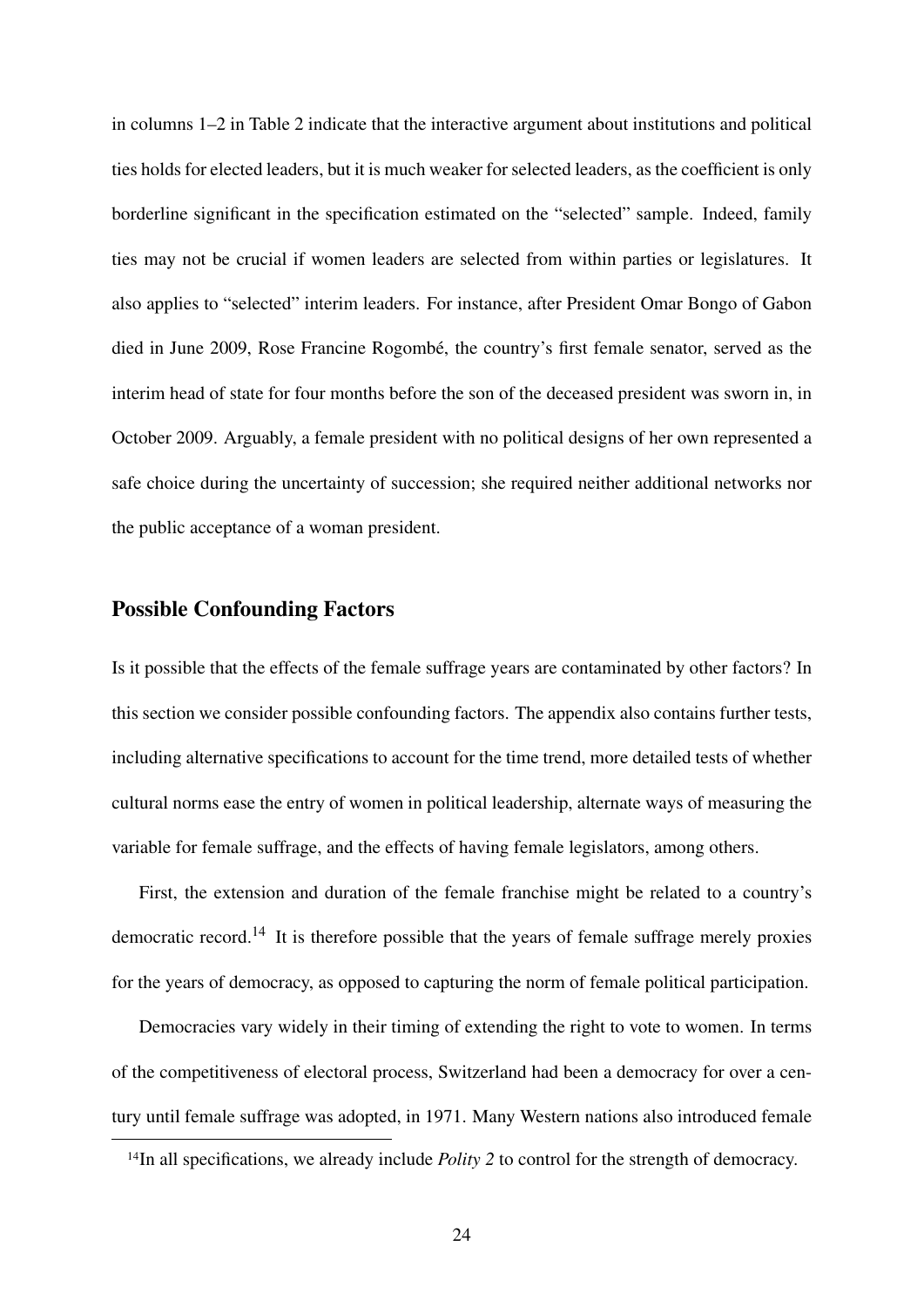in columns 1–2 in Table [2](#page-37-0) indicate that the interactive argument about institutions and political ties holds for elected leaders, but it is much weaker for selected leaders, as the coefficient is only borderline significant in the specification estimated on the "selected" sample. Indeed, family ties may not be crucial if women leaders are selected from within parties or legislatures. It also applies to "selected" interim leaders. For instance, after President Omar Bongo of Gabon died in June 2009, Rose Francine Rogombé, the country's first female senator, served as the interim head of state for four months before the son of the deceased president was sworn in, in October 2009. Arguably, a female president with no political designs of her own represented a safe choice during the uncertainty of succession; she required neither additional networks nor the public acceptance of a woman president.

#### Possible Confounding Factors

Is it possible that the effects of the female suffrage years are contaminated by other factors? In this section we consider possible confounding factors. The appendix also contains further tests, including alternative specifications to account for the time trend, more detailed tests of whether cultural norms ease the entry of women in political leadership, alternate ways of measuring the variable for female suffrage, and the effects of having female legislators, among others.

First, the extension and duration of the female franchise might be related to a country's democratic record.<sup>[14](#page-24-0)</sup> It is therefore possible that the years of female suffrage merely proxies for the years of democracy, as opposed to capturing the norm of female political participation.

Democracies vary widely in their timing of extending the right to vote to women. In terms of the competitiveness of electoral process, Switzerland had been a democracy for over a century until female suffrage was adopted, in 1971. Many Western nations also introduced female

<span id="page-24-0"></span><sup>&</sup>lt;sup>14</sup>In all specifications, we already include *Polity* 2 to control for the strength of democracy.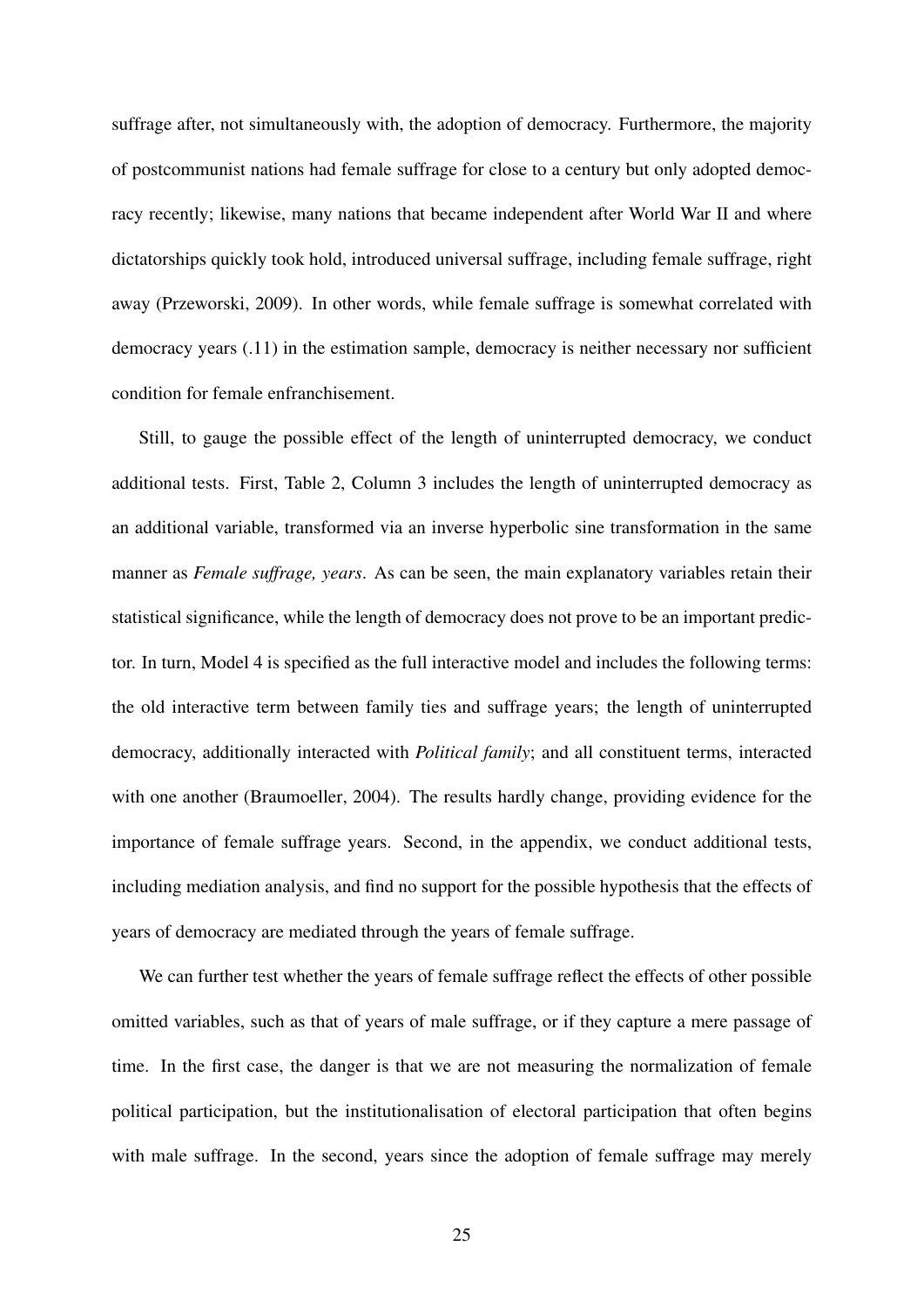suffrage after, not simultaneously with, the adoption of democracy. Furthermore, the majority of postcommunist nations had female suffrage for close to a century but only adopted democracy recently; likewise, many nations that became independent after World War II and where dictatorships quickly took hold, introduced universal suffrage, including female suffrage, right away [\(Przeworski,](#page-33-11) [2009\)](#page-33-11). In other words, while female suffrage is somewhat correlated with democracy years (.11) in the estimation sample, democracy is neither necessary nor sufficient condition for female enfranchisement.

Still, to gauge the possible effect of the length of uninterrupted democracy, we conduct additional tests. First, Table [2,](#page-37-0) Column 3 includes the length of uninterrupted democracy as an additional variable, transformed via an inverse hyperbolic sine transformation in the same manner as *Female suffrage, years*. As can be seen, the main explanatory variables retain their statistical significance, while the length of democracy does not prove to be an important predictor. In turn, Model 4 is specified as the full interactive model and includes the following terms: the old interactive term between family ties and suffrage years; the length of uninterrupted democracy, additionally interacted with *Political family*; and all constituent terms, interacted with one another [\(Braumoeller,](#page-29-11) [2004\)](#page-29-11). The results hardly change, providing evidence for the importance of female suffrage years. Second, in the appendix, we conduct additional tests, including mediation analysis, and find no support for the possible hypothesis that the effects of years of democracy are mediated through the years of female suffrage.

We can further test whether the years of female suffrage reflect the effects of other possible omitted variables, such as that of years of male suffrage, or if they capture a mere passage of time. In the first case, the danger is that we are not measuring the normalization of female political participation, but the institutionalisation of electoral participation that often begins with male suffrage. In the second, years since the adoption of female suffrage may merely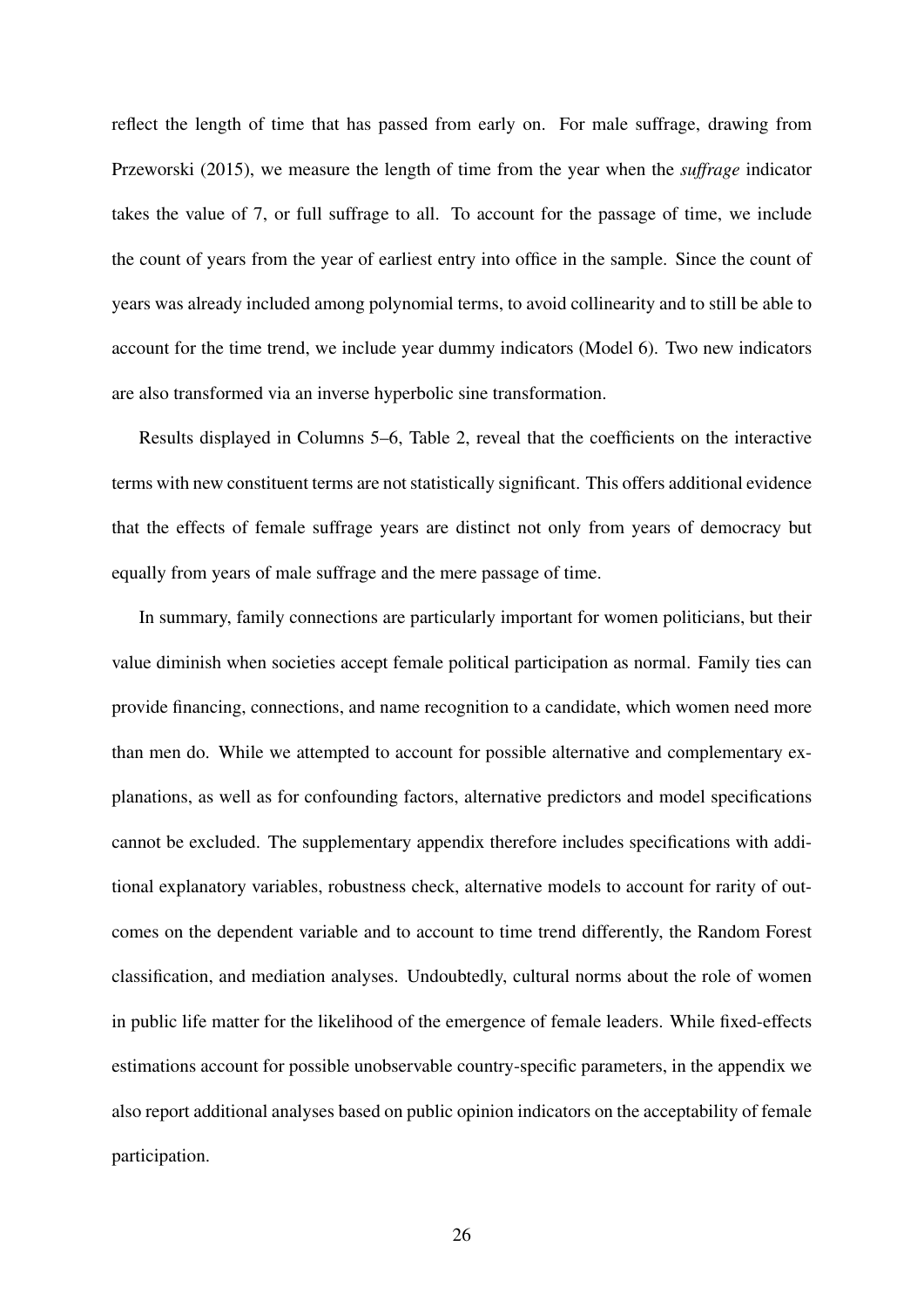reflect the length of time that has passed from early on. For male suffrage, drawing from [Przeworski](#page-33-12) [\(2015\)](#page-33-12), we measure the length of time from the year when the *suffrage* indicator takes the value of 7, or full suffrage to all. To account for the passage of time, we include the count of years from the year of earliest entry into office in the sample. Since the count of years was already included among polynomial terms, to avoid collinearity and to still be able to account for the time trend, we include year dummy indicators (Model 6). Two new indicators are also transformed via an inverse hyperbolic sine transformation.

Results displayed in Columns 5–6, Table [2,](#page-37-0) reveal that the coefficients on the interactive terms with new constituent terms are not statistically significant. This offers additional evidence that the effects of female suffrage years are distinct not only from years of democracy but equally from years of male suffrage and the mere passage of time.

In summary, family connections are particularly important for women politicians, but their value diminish when societies accept female political participation as normal. Family ties can provide financing, connections, and name recognition to a candidate, which women need more than men do. While we attempted to account for possible alternative and complementary explanations, as well as for confounding factors, alternative predictors and model specifications cannot be excluded. The supplementary appendix therefore includes specifications with additional explanatory variables, robustness check, alternative models to account for rarity of outcomes on the dependent variable and to account to time trend differently, the Random Forest classification, and mediation analyses. Undoubtedly, cultural norms about the role of women in public life matter for the likelihood of the emergence of female leaders. While fixed-effects estimations account for possible unobservable country-specific parameters, in the appendix we also report additional analyses based on public opinion indicators on the acceptability of female participation.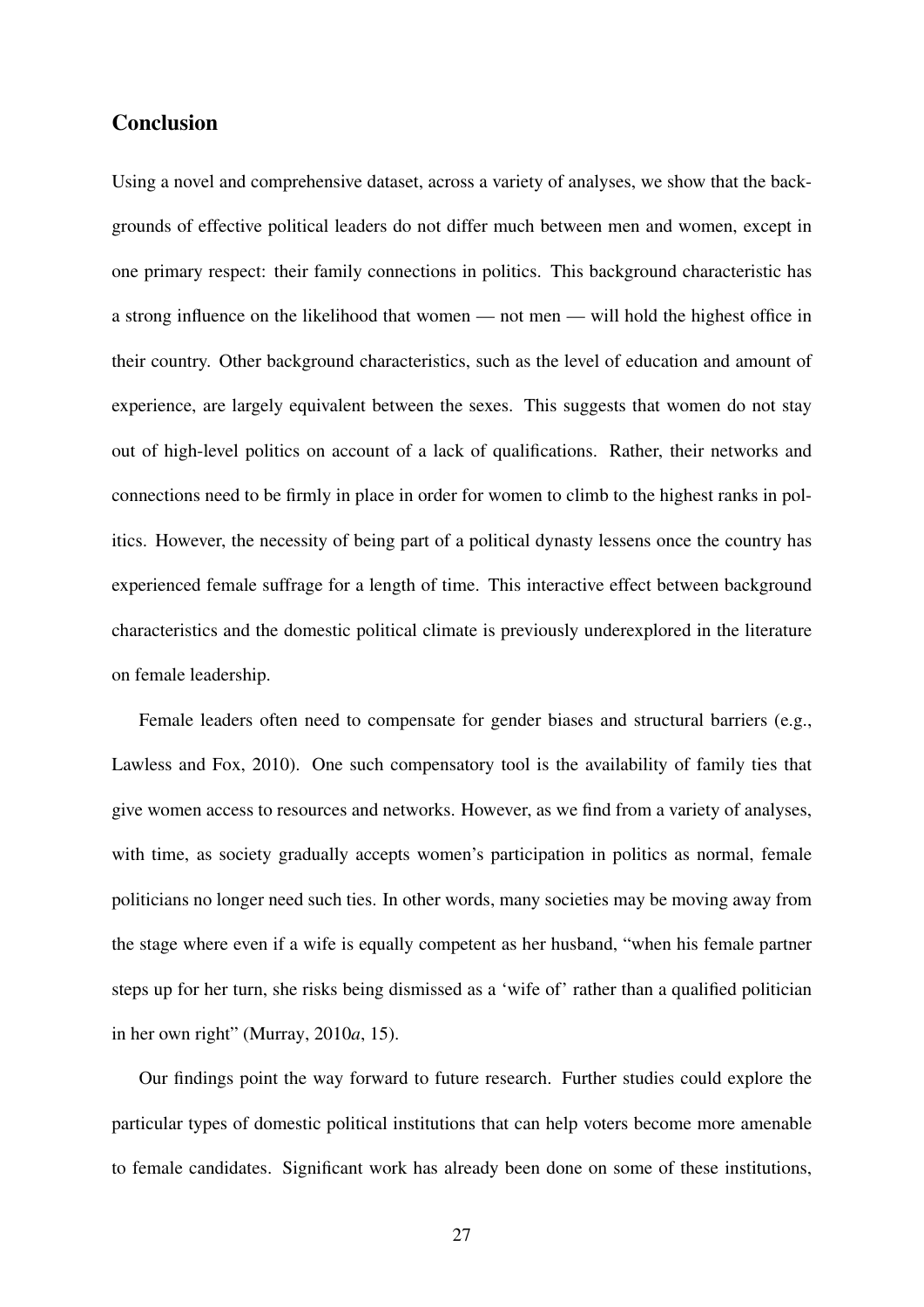#### **Conclusion**

Using a novel and comprehensive dataset, across a variety of analyses, we show that the backgrounds of effective political leaders do not differ much between men and women, except in one primary respect: their family connections in politics. This background characteristic has a strong influence on the likelihood that women — not men — will hold the highest office in their country. Other background characteristics, such as the level of education and amount of experience, are largely equivalent between the sexes. This suggests that women do not stay out of high-level politics on account of a lack of qualifications. Rather, their networks and connections need to be firmly in place in order for women to climb to the highest ranks in politics. However, the necessity of being part of a political dynasty lessens once the country has experienced female suffrage for a length of time. This interactive effect between background characteristics and the domestic political climate is previously underexplored in the literature on female leadership.

Female leaders often need to compensate for gender biases and structural barriers (e.g., [Lawless and Fox,](#page-32-12) [2010\)](#page-32-12). One such compensatory tool is the availability of family ties that give women access to resources and networks. However, as we find from a variety of analyses, with time, as society gradually accepts women's participation in politics as normal, female politicians no longer need such ties. In other words, many societies may be moving away from the stage where even if a wife is equally competent as her husband, "when his female partner steps up for her turn, she risks being dismissed as a 'wife of' rather than a qualified politician in her own right" [\(Murray,](#page-32-1) [2010](#page-32-1)*a*, 15).

Our findings point the way forward to future research. Further studies could explore the particular types of domestic political institutions that can help voters become more amenable to female candidates. Significant work has already been done on some of these institutions,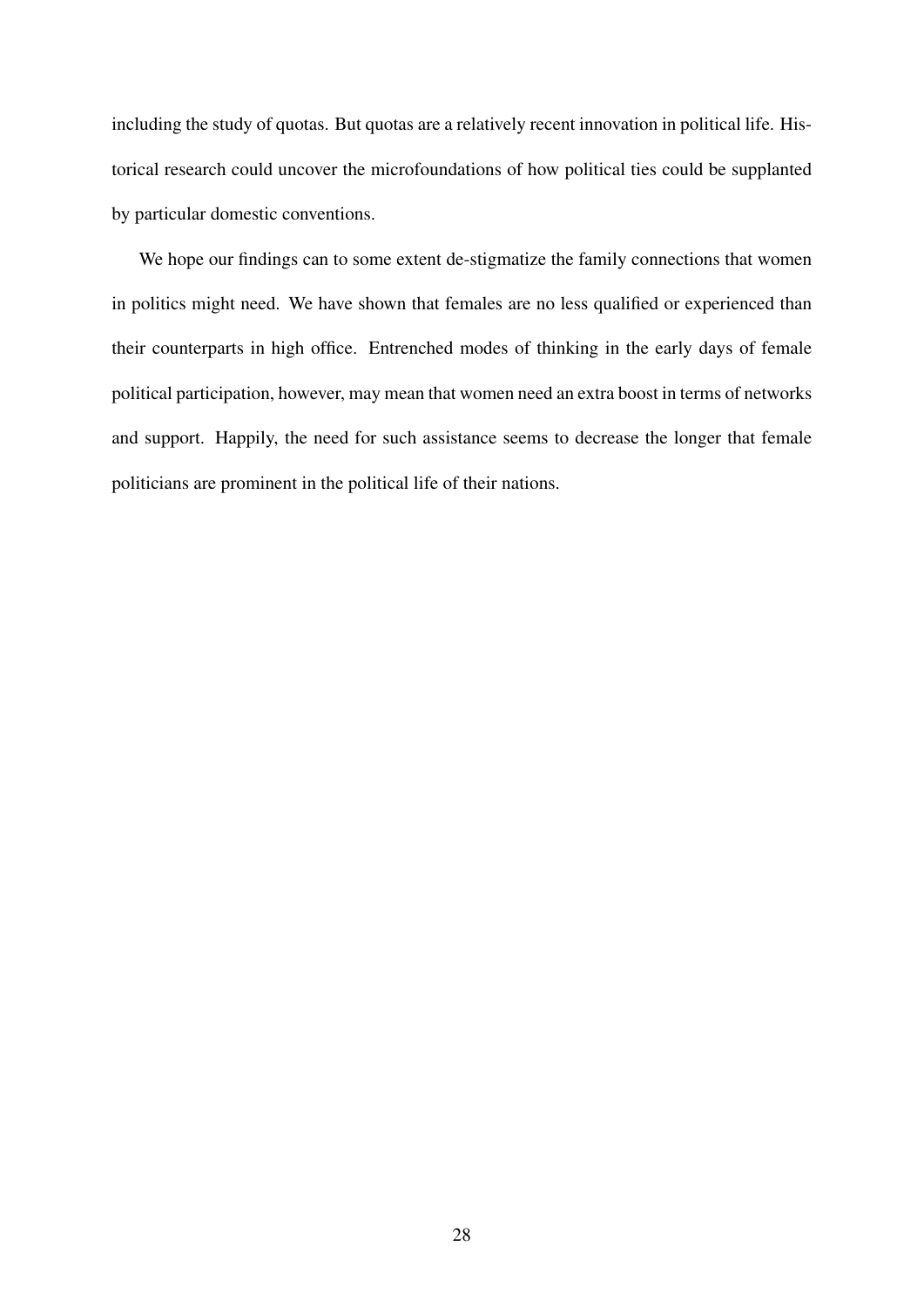including the study of quotas. But quotas are a relatively recent innovation in political life. Historical research could uncover the microfoundations of how political ties could be supplanted by particular domestic conventions.

We hope our findings can to some extent de-stigmatize the family connections that women in politics might need. We have shown that females are no less qualified or experienced than their counterparts in high office. Entrenched modes of thinking in the early days of female political participation, however, may mean that women need an extra boost in terms of networks and support. Happily, the need for such assistance seems to decrease the longer that female politicians are prominent in the political life of their nations.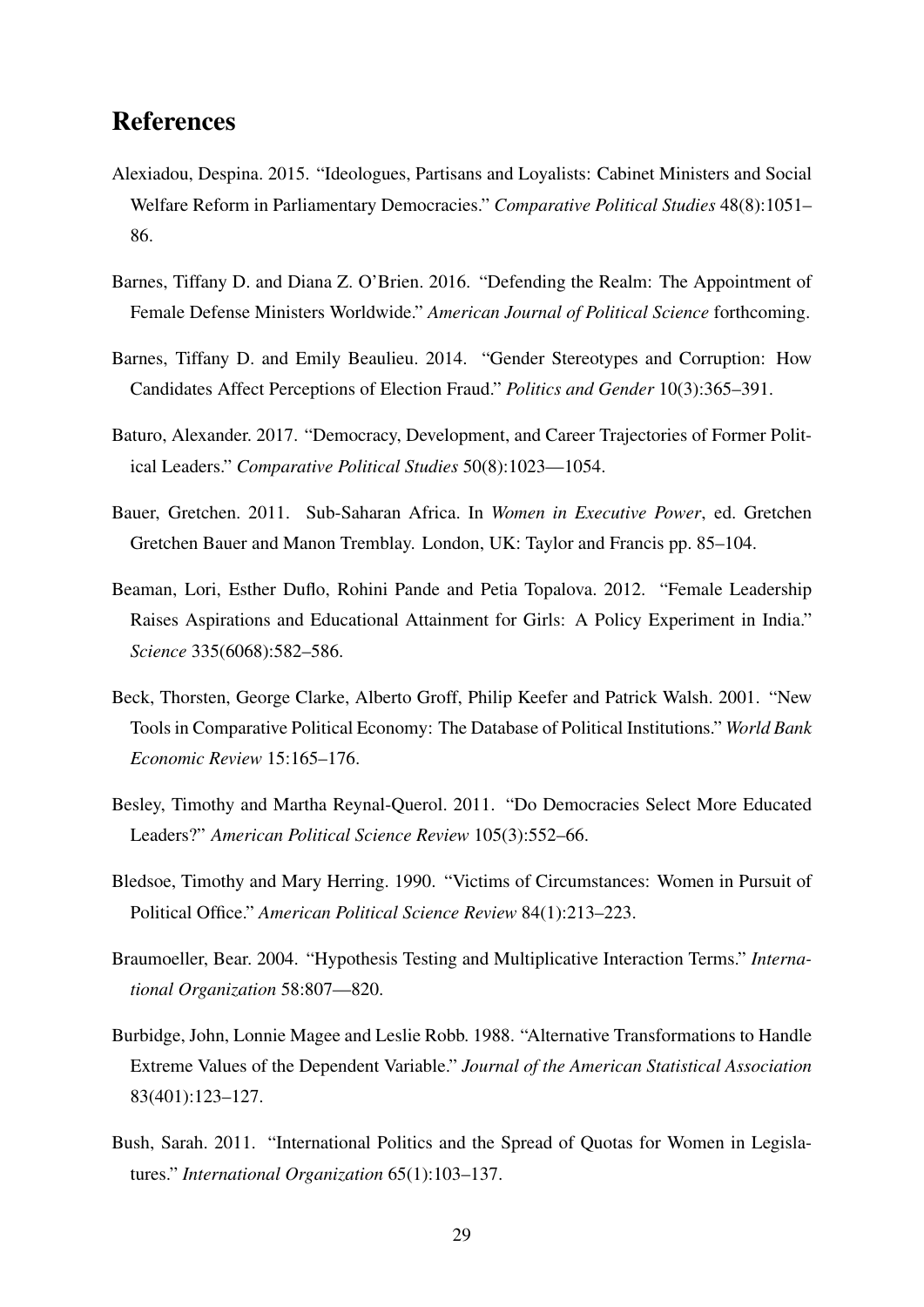## References

- <span id="page-29-8"></span>Alexiadou, Despina. 2015. "Ideologues, Partisans and Loyalists: Cabinet Ministers and Social Welfare Reform in Parliamentary Democracies." *Comparative Political Studies* 48(8):1051– 86.
- <span id="page-29-4"></span>Barnes, Tiffany D. and Diana Z. O'Brien. 2016. "Defending the Realm: The Appointment of Female Defense Ministers Worldwide." *American Journal of Political Science* forthcoming.
- <span id="page-29-3"></span>Barnes, Tiffany D. and Emily Beaulieu. 2014. "Gender Stereotypes and Corruption: How Candidates Affect Perceptions of Election Fraud." *Politics and Gender* 10(3):365–391.
- <span id="page-29-6"></span>Baturo, Alexander. 2017. "Democracy, Development, and Career Trajectories of Former Political Leaders." *Comparative Political Studies* 50(8):1023—1054.
- <span id="page-29-0"></span>Bauer, Gretchen. 2011. Sub-Saharan Africa. In *Women in Executive Power*, ed. Gretchen Gretchen Bauer and Manon Tremblay. London, UK: Taylor and Francis pp. 85–104.
- <span id="page-29-1"></span>Beaman, Lori, Esther Duflo, Rohini Pande and Petia Topalova. 2012. "Female Leadership Raises Aspirations and Educational Attainment for Girls: A Policy Experiment in India." *Science* 335(6068):582–586.
- <span id="page-29-10"></span>Beck, Thorsten, George Clarke, Alberto Groff, Philip Keefer and Patrick Walsh. 2001. "New Tools in Comparative Political Economy: The Database of Political Institutions." *World Bank Economic Review* 15:165–176.
- <span id="page-29-7"></span>Besley, Timothy and Martha Reynal-Querol. 2011. "Do Democracies Select More Educated Leaders?" *American Political Science Review* 105(3):552–66.
- <span id="page-29-2"></span>Bledsoe, Timothy and Mary Herring. 1990. "Victims of Circumstances: Women in Pursuit of Political Office." *American Political Science Review* 84(1):213–223.
- <span id="page-29-11"></span>Braumoeller, Bear. 2004. "Hypothesis Testing and Multiplicative Interaction Terms." *International Organization* 58:807—820.
- <span id="page-29-9"></span>Burbidge, John, Lonnie Magee and Leslie Robb. 1988. "Alternative Transformations to Handle Extreme Values of the Dependent Variable." *Journal of the American Statistical Association* 83(401):123–127.
- <span id="page-29-5"></span>Bush, Sarah. 2011. "International Politics and the Spread of Quotas for Women in Legislatures." *International Organization* 65(1):103–137.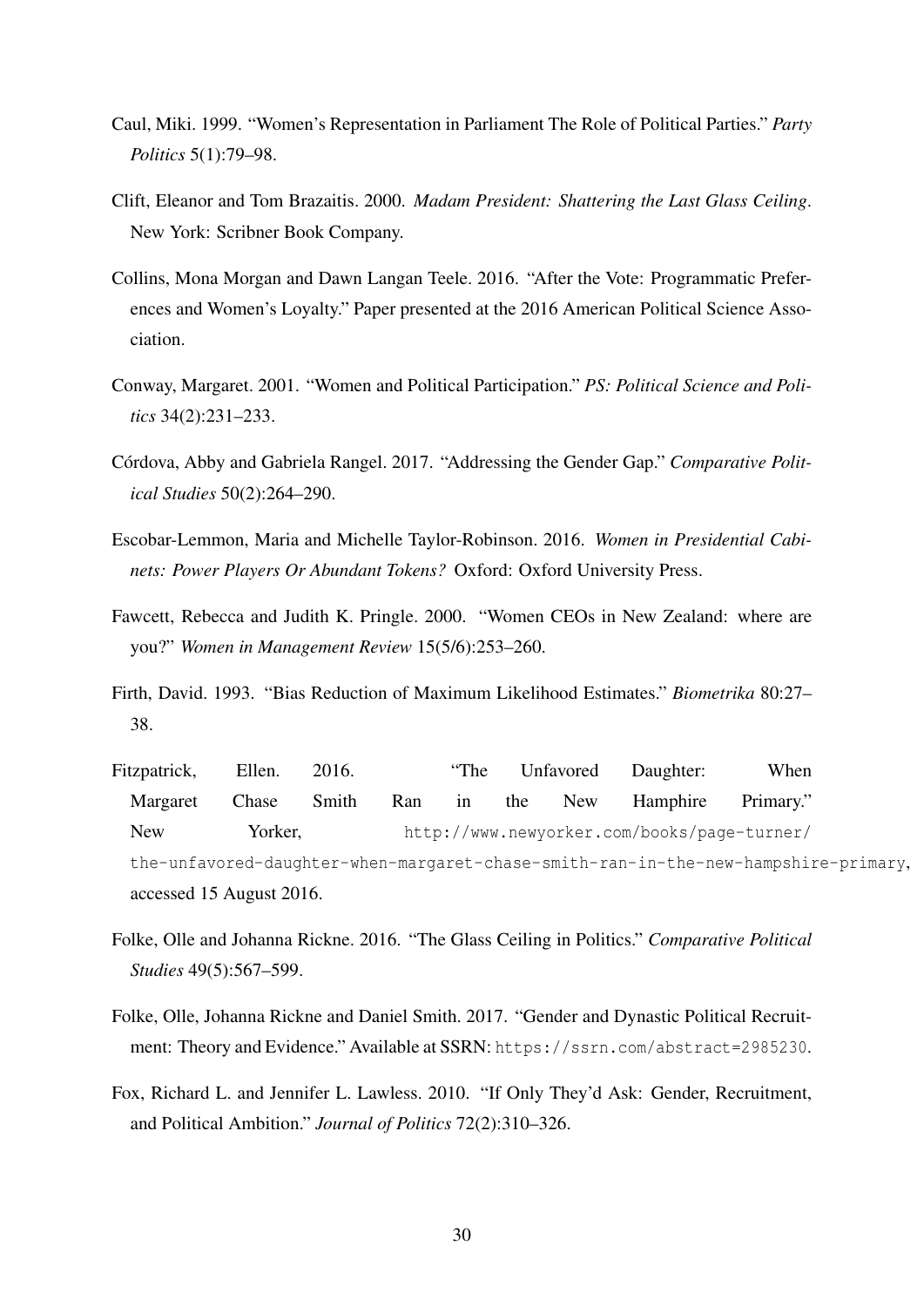- <span id="page-30-10"></span>Caul, Miki. 1999. "Women's Representation in Parliament The Role of Political Parties." *Party Politics* 5(1):79–98.
- <span id="page-30-8"></span>Clift, Eleanor and Tom Brazaitis. 2000. *Madam President: Shattering the Last Glass Ceiling*. New York: Scribner Book Company.
- <span id="page-30-6"></span>Collins, Mona Morgan and Dawn Langan Teele. 2016. "After the Vote: Programmatic Preferences and Women's Loyalty." Paper presented at the 2016 American Political Science Association.
- <span id="page-30-5"></span>Conway, Margaret. 2001. "Women and Political Participation." *PS: Political Science and Politics* 34(2):231–233.
- <span id="page-30-4"></span>Córdova, Abby and Gabriela Rangel. 2017. "Addressing the Gender Gap." Comparative Polit*ical Studies* 50(2):264–290.
- <span id="page-30-2"></span>Escobar-Lemmon, Maria and Michelle Taylor-Robinson. 2016. *Women in Presidential Cabinets: Power Players Or Abundant Tokens?* Oxford: Oxford University Press.
- <span id="page-30-1"></span>Fawcett, Rebecca and Judith K. Pringle. 2000. "Women CEOs in New Zealand: where are you?" *Women in Management Review* 15(5/6):253–260.
- <span id="page-30-11"></span>Firth, David. 1993. "Bias Reduction of Maximum Likelihood Estimates." *Biometrika* 80:27– 38.
- <span id="page-30-7"></span>Fitzpatrick, Ellen. 2016. "The Unfavored Daughter: When Margaret Chase Smith Ran in the New Hamphire Primary." New Yorker, [http://www.newyorker.com/books/page-turner/](http://www.newyorker.com/books/page-turner/the-unfavored-daughter-when-margaret-chase-smith-ran-in-the-new-hampshire-primary) [the-unfavored-daughter-when-margaret-chase-smith-ran-in-the-new-hampshire-primary](http://www.newyorker.com/books/page-turner/the-unfavored-daughter-when-margaret-chase-smith-ran-in-the-new-hampshire-primary), accessed 15 August 2016.
- <span id="page-30-3"></span>Folke, Olle and Johanna Rickne. 2016. "The Glass Ceiling in Politics." *Comparative Political Studies* 49(5):567–599.
- <span id="page-30-0"></span>Folke, Olle, Johanna Rickne and Daniel Smith. 2017. "Gender and Dynastic Political Recruitment: Theory and Evidence." Available at SSRN: <https://ssrn.com/abstract=2985230>.
- <span id="page-30-9"></span>Fox, Richard L. and Jennifer L. Lawless. 2010. "If Only They'd Ask: Gender, Recruitment, and Political Ambition." *Journal of Politics* 72(2):310–326.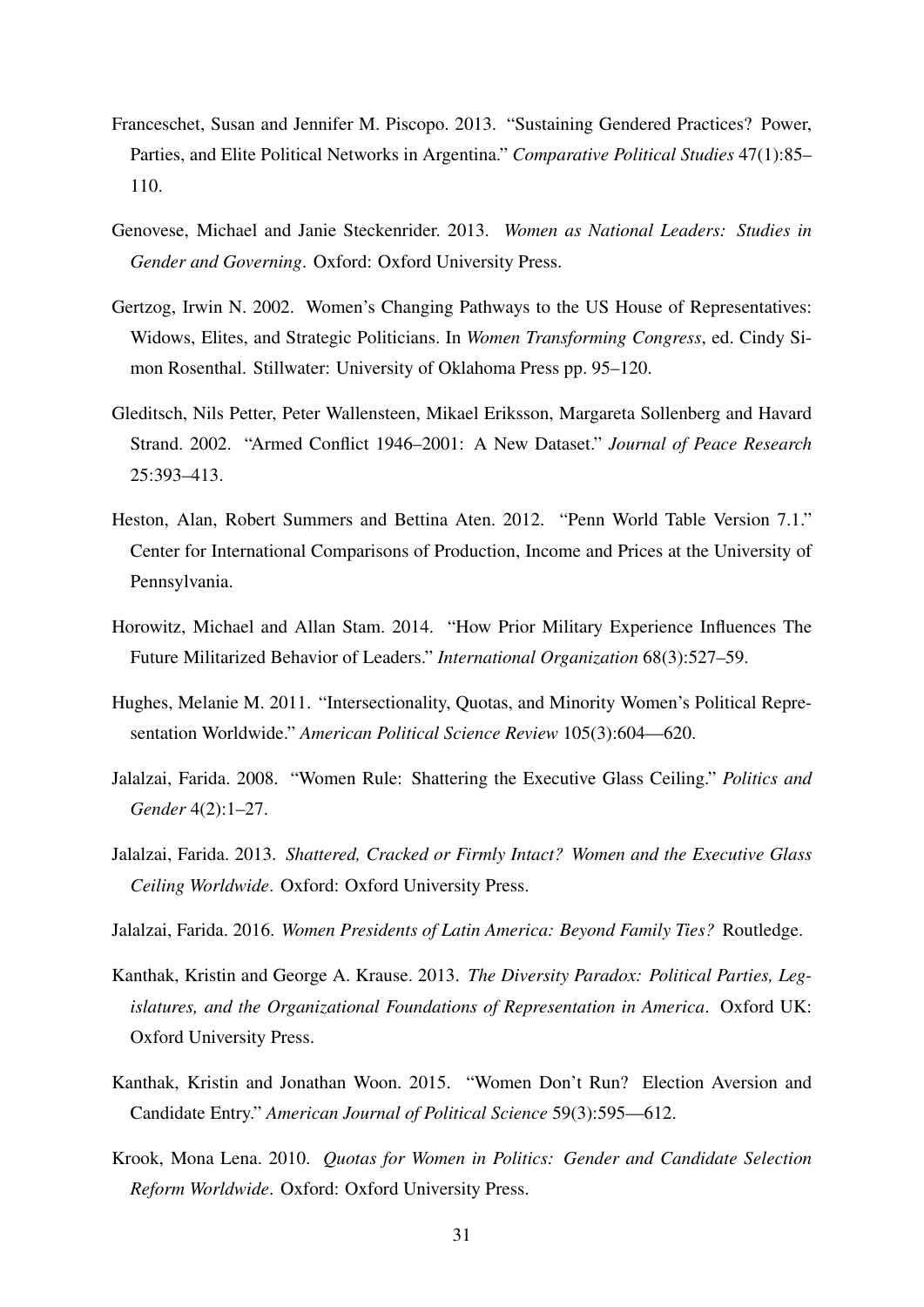- <span id="page-31-4"></span>Franceschet, Susan and Jennifer M. Piscopo. 2013. "Sustaining Gendered Practices? Power, Parties, and Elite Political Networks in Argentina." *Comparative Political Studies* 47(1):85– 110.
- <span id="page-31-2"></span>Genovese, Michael and Janie Steckenrider. 2013. *Women as National Leaders: Studies in Gender and Governing*. Oxford: Oxford University Press.
- <span id="page-31-5"></span>Gertzog, Irwin N. 2002. Women's Changing Pathways to the US House of Representatives: Widows, Elites, and Strategic Politicians. In *Women Transforming Congress*, ed. Cindy Simon Rosenthal. Stillwater: University of Oklahoma Press pp. 95–120.
- <span id="page-31-12"></span>Gleditsch, Nils Petter, Peter Wallensteen, Mikael Eriksson, Margareta Sollenberg and Havard Strand. 2002. "Armed Conflict 1946–2001: A New Dataset." *Journal of Peace Research* 25:393–413.
- <span id="page-31-11"></span>Heston, Alan, Robert Summers and Bettina Aten. 2012. "Penn World Table Version 7.1." Center for International Comparisons of Production, Income and Prices at the University of Pennsylvania.
- <span id="page-31-9"></span>Horowitz, Michael and Allan Stam. 2014. "How Prior Military Experience Influences The Future Militarized Behavior of Leaders." *International Organization* 68(3):527–59.
- <span id="page-31-7"></span>Hughes, Melanie M. 2011. "Intersectionality, Quotas, and Minority Women's Political Representation Worldwide." *American Political Science Review* 105(3):604—620.
- <span id="page-31-10"></span>Jalalzai, Farida. 2008. "Women Rule: Shattering the Executive Glass Ceiling." *Politics and Gender* 4(2):1–27.
- <span id="page-31-0"></span>Jalalzai, Farida. 2013. *Shattered, Cracked or Firmly Intact? Women and the Executive Glass Ceiling Worldwide*. Oxford: Oxford University Press.
- <span id="page-31-1"></span>Jalalzai, Farida. 2016. *Women Presidents of Latin America: Beyond Family Ties?* Routledge.
- <span id="page-31-6"></span>Kanthak, Kristin and George A. Krause. 2013. *The Diversity Paradox: Political Parties, Legislatures, and the Organizational Foundations of Representation in America*. Oxford UK: Oxford University Press.
- <span id="page-31-3"></span>Kanthak, Kristin and Jonathan Woon. 2015. "Women Don't Run? Election Aversion and Candidate Entry." *American Journal of Political Science* 59(3):595—612.
- <span id="page-31-8"></span>Krook, Mona Lena. 2010. *Quotas for Women in Politics: Gender and Candidate Selection Reform Worldwide*. Oxford: Oxford University Press.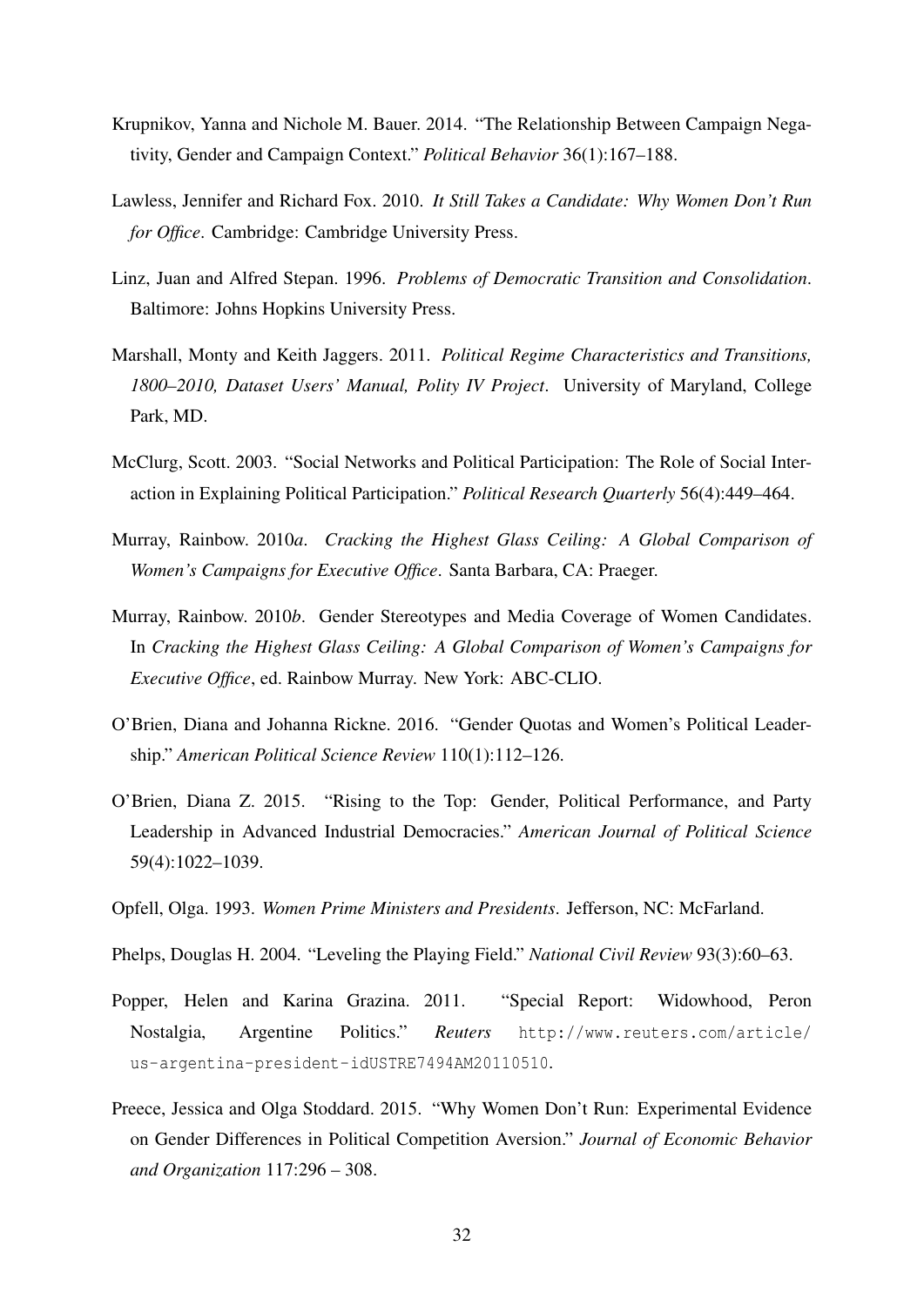- <span id="page-32-4"></span>Krupnikov, Yanna and Nichole M. Bauer. 2014. "The Relationship Between Campaign Negativity, Gender and Campaign Context." *Political Behavior* 36(1):167–188.
- <span id="page-32-12"></span>Lawless, Jennifer and Richard Fox. 2010. *It Still Takes a Candidate: Why Women Don't Run for Office*. Cambridge: Cambridge University Press.
- <span id="page-32-11"></span>Linz, Juan and Alfred Stepan. 1996. *Problems of Democratic Transition and Consolidation*. Baltimore: Johns Hopkins University Press.
- <span id="page-32-10"></span>Marshall, Monty and Keith Jaggers. 2011. *Political Regime Characteristics and Transitions, 1800–2010, Dataset Users' Manual, Polity IV Project*. University of Maryland, College Park, MD.
- <span id="page-32-6"></span>McClurg, Scott. 2003. "Social Networks and Political Participation: The Role of Social Interaction in Explaining Political Participation." *Political Research Quarterly* 56(4):449–464.
- <span id="page-32-1"></span>Murray, Rainbow. 2010*a*. *Cracking the Highest Glass Ceiling: A Global Comparison of Women's Campaigns for Executive Office*. Santa Barbara, CA: Praeger.
- <span id="page-32-7"></span>Murray, Rainbow. 2010*b*. Gender Stereotypes and Media Coverage of Women Candidates. In *Cracking the Highest Glass Ceiling: A Global Comparison of Women's Campaigns for Executive Office*, ed. Rainbow Murray. New York: ABC-CLIO.
- <span id="page-32-9"></span>O'Brien, Diana and Johanna Rickne. 2016. "Gender Quotas and Women's Political Leadership." *American Political Science Review* 110(1):112–126.
- <span id="page-32-2"></span>O'Brien, Diana Z. 2015. "Rising to the Top: Gender, Political Performance, and Party Leadership in Advanced Industrial Democracies." *American Journal of Political Science* 59(4):1022–1039.
- <span id="page-32-0"></span>Opfell, Olga. 1993. *Women Prime Ministers and Presidents*. Jefferson, NC: McFarland.
- <span id="page-32-5"></span>Phelps, Douglas H. 2004. "Leveling the Playing Field." *National Civil Review* 93(3):60–63.
- <span id="page-32-8"></span>Popper, Helen and Karina Grazina. 2011. "Special Report: Widowhood, Peron Nostalgia, Argentine Politics." *Reuters* [http://www.reuters.com/article/](http://www.reuters.com/article/us-argentina-president-idUSTRE7494AM20110510) [us-argentina-president-idUSTRE7494AM20110510](http://www.reuters.com/article/us-argentina-president-idUSTRE7494AM20110510).
- <span id="page-32-3"></span>Preece, Jessica and Olga Stoddard. 2015. "Why Women Don't Run: Experimental Evidence on Gender Differences in Political Competition Aversion." *Journal of Economic Behavior and Organization* 117:296 – 308.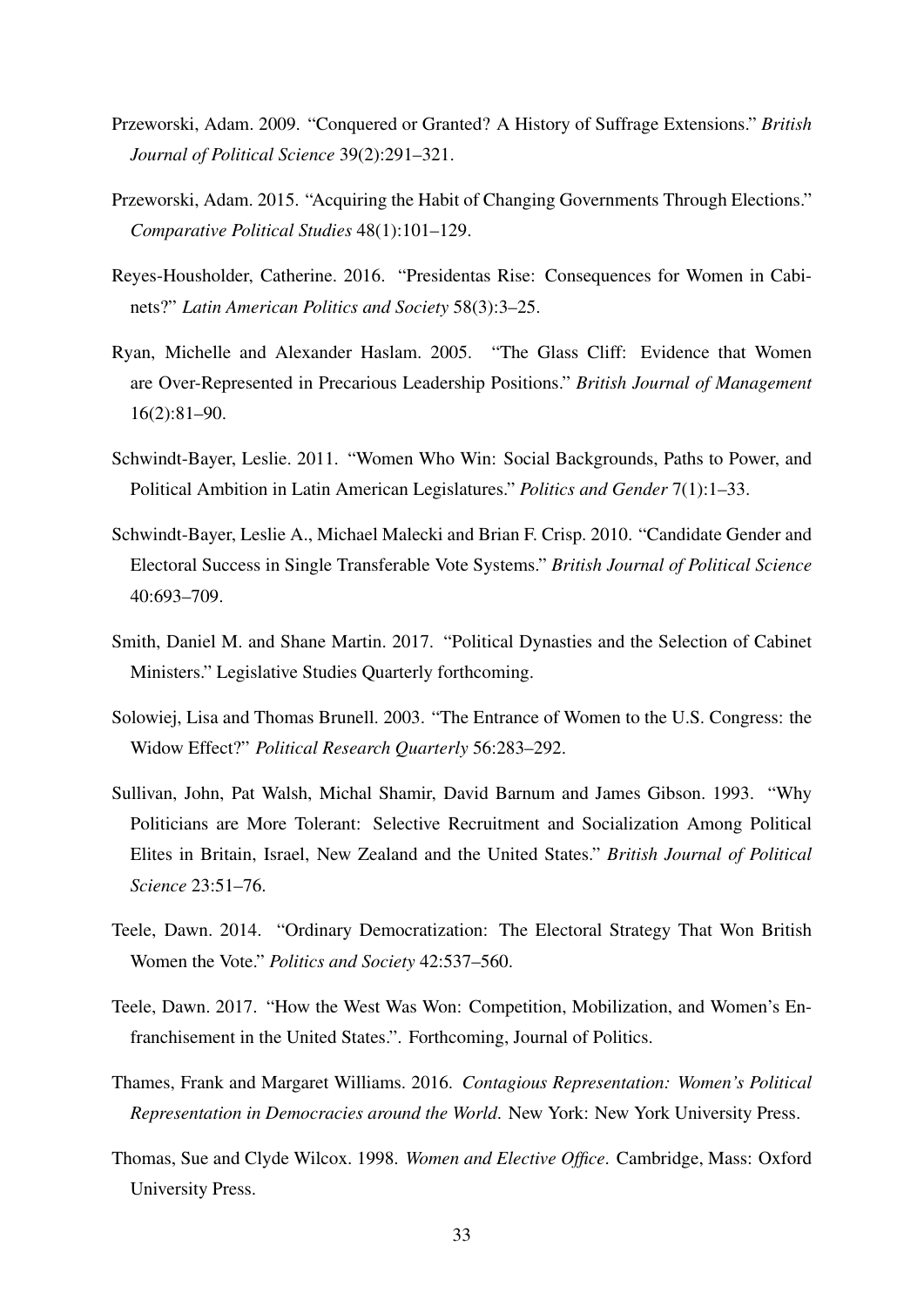- <span id="page-33-11"></span>Przeworski, Adam. 2009. "Conquered or Granted? A History of Suffrage Extensions." *British Journal of Political Science* 39(2):291–321.
- <span id="page-33-12"></span>Przeworski, Adam. 2015. "Acquiring the Habit of Changing Governments Through Elections." *Comparative Political Studies* 48(1):101–129.
- <span id="page-33-9"></span>Reyes-Housholder, Catherine. 2016. "Presidentas Rise: Consequences for Women in Cabinets?" *Latin American Politics and Society* 58(3):3–25.
- <span id="page-33-10"></span>Ryan, Michelle and Alexander Haslam. 2005. "The Glass Cliff: Evidence that Women are Over-Represented in Precarious Leadership Positions." *British Journal of Management* 16(2):81–90.
- <span id="page-33-4"></span>Schwindt-Bayer, Leslie. 2011. "Women Who Win: Social Backgrounds, Paths to Power, and Political Ambition in Latin American Legislatures." *Politics and Gender* 7(1):1–33.
- <span id="page-33-8"></span>Schwindt-Bayer, Leslie A., Michael Malecki and Brian F. Crisp. 2010. "Candidate Gender and Electoral Success in Single Transferable Vote Systems." *British Journal of Political Science* 40:693–709.
- <span id="page-33-5"></span>Smith, Daniel M. and Shane Martin. 2017. "Political Dynasties and the Selection of Cabinet Ministers." Legislative Studies Quarterly forthcoming.
- <span id="page-33-0"></span>Solowiej, Lisa and Thomas Brunell. 2003. "The Entrance of Women to the U.S. Congress: the Widow Effect?" *Political Research Quarterly* 56:283–292.
- <span id="page-33-2"></span>Sullivan, John, Pat Walsh, Michal Shamir, David Barnum and James Gibson. 1993. "Why Politicians are More Tolerant: Selective Recruitment and Socialization Among Political Elites in Britain, Israel, New Zealand and the United States." *British Journal of Political Science* 23:51–76.
- <span id="page-33-6"></span>Teele, Dawn. 2014. "Ordinary Democratization: The Electoral Strategy That Won British Women the Vote." *Politics and Society* 42:537–560.
- <span id="page-33-7"></span>Teele, Dawn. 2017. "How the West Was Won: Competition, Mobilization, and Women's Enfranchisement in the United States.". Forthcoming, Journal of Politics.
- <span id="page-33-1"></span>Thames, Frank and Margaret Williams. 2016. *Contagious Representation: Women's Political Representation in Democracies around the World*. New York: New York University Press.
- <span id="page-33-3"></span>Thomas, Sue and Clyde Wilcox. 1998. *Women and Elective Office*. Cambridge, Mass: Oxford University Press.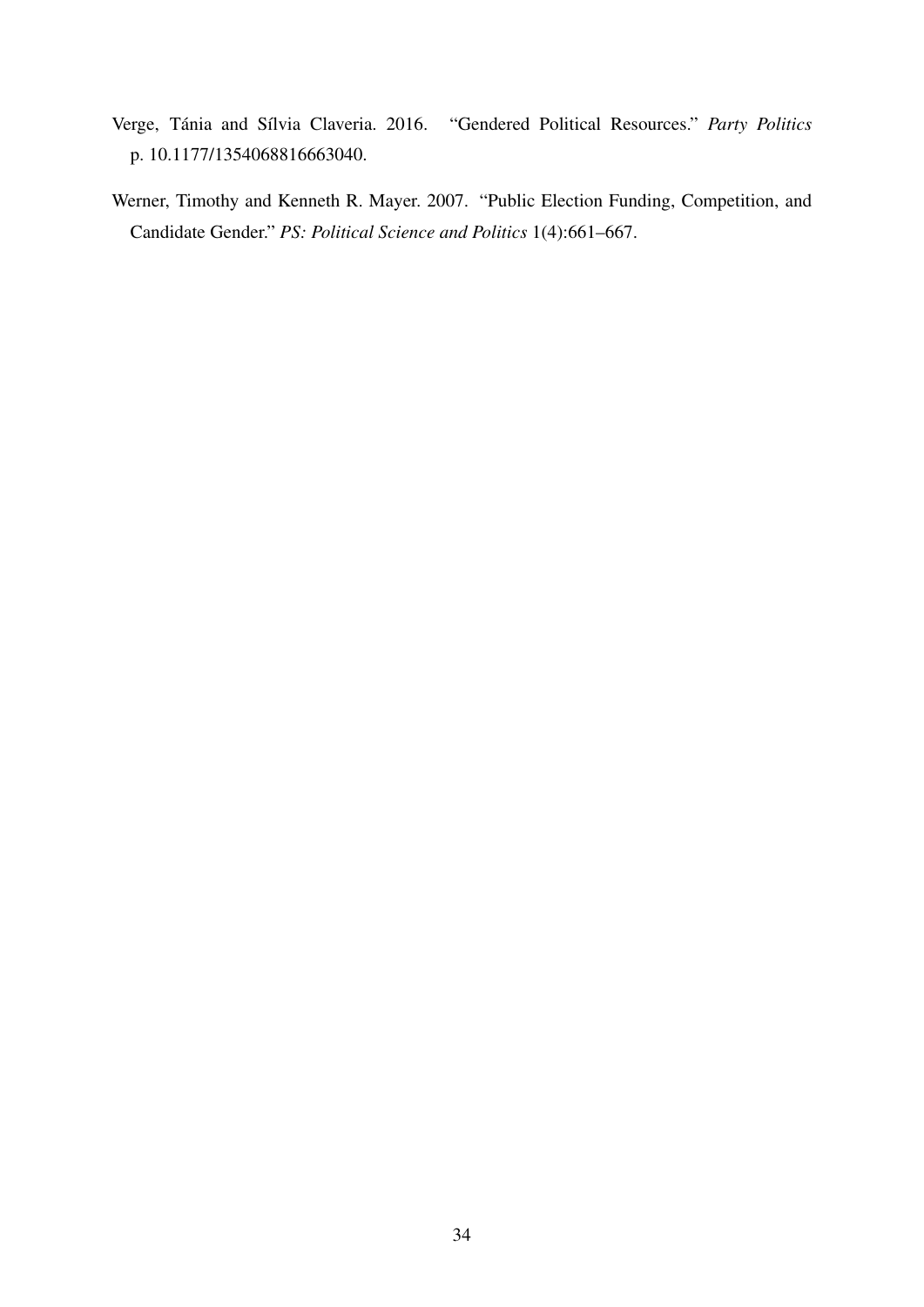- <span id="page-34-1"></span>Verge, Tánia and Sílvia Claveria. 2016. "Gendered Political Resources." Party Politics p. 10.1177/1354068816663040.
- <span id="page-34-0"></span>Werner, Timothy and Kenneth R. Mayer. 2007. "Public Election Funding, Competition, and Candidate Gender." *PS: Political Science and Politics* 1(4):661–667.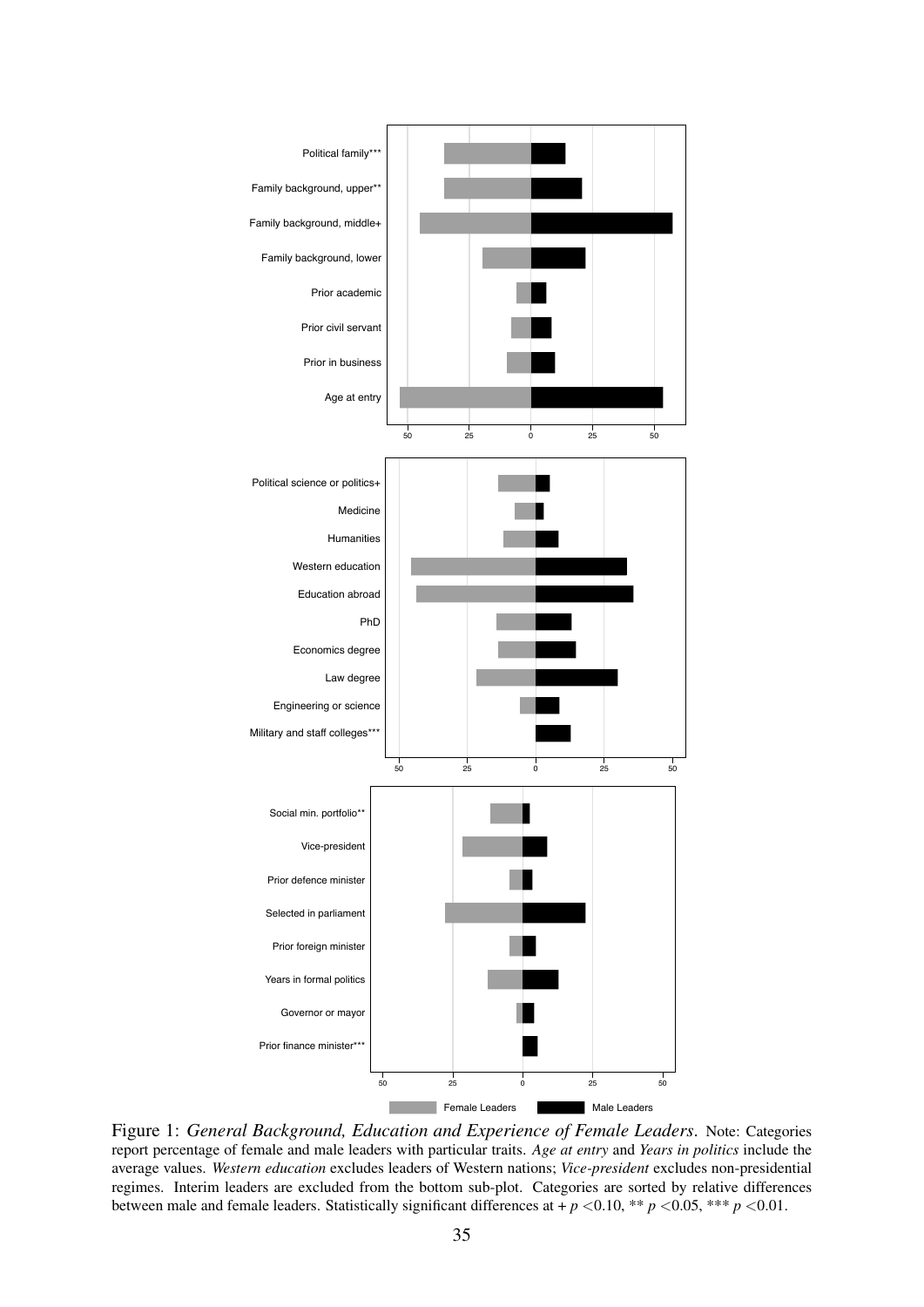<span id="page-35-0"></span>

Figure 1: *General Background, Education and Experience of Female Leaders*. Note: Categories report percentage of female and male leaders with particular traits. *Age at entry* and *Years in politics* include the average values. *Western education* excludes leaders of Western nations; *Vice-president* excludes non-presidential regimes. Interim leaders are excluded from the bottom sub-plot. Categories are sorted by relative differences between male and female leaders. Statistically significant differences at + *p <*0.10, \*\* *p <*0.05, \*\*\* *p <*0.01.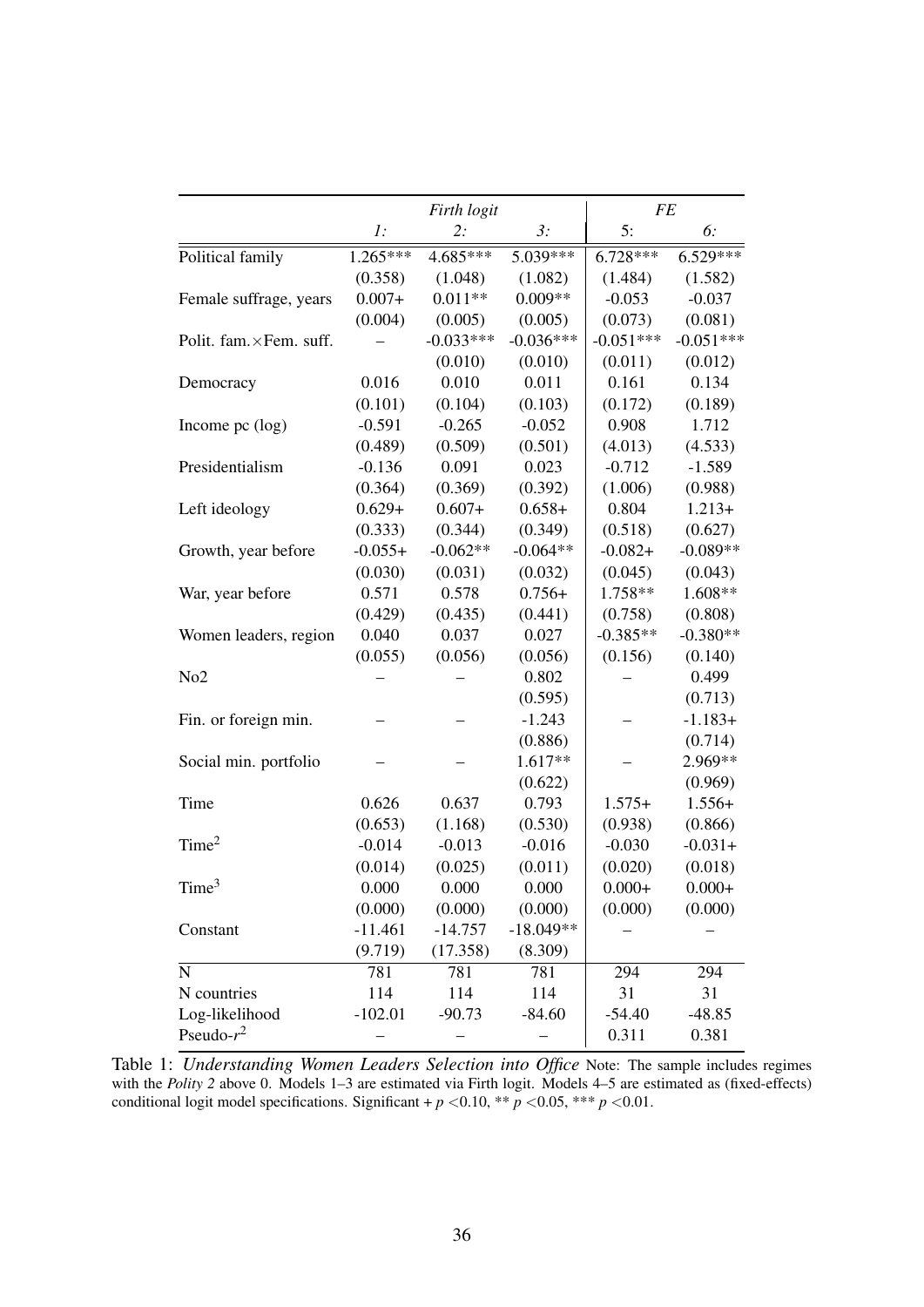<span id="page-36-0"></span>

|                          |                | Firth logit |             |             | <b>FE</b>   |  |  |
|--------------------------|----------------|-------------|-------------|-------------|-------------|--|--|
|                          | $\mathbf{l}$ : | 2:          | 3:          | 5:          | 6:          |  |  |
| Political family         | $1.265***$     | 4.685***    | $5.039***$  | $6.728***$  | $6.529***$  |  |  |
|                          | (0.358)        | (1.048)     | (1.082)     | (1.484)     | (1.582)     |  |  |
| Female suffrage, years   | $0.007+$       | $0.011**$   | $0.009**$   | $-0.053$    | $-0.037$    |  |  |
|                          | (0.004)        | (0.005)     | (0.005)     | (0.073)     | (0.081)     |  |  |
| Polit. fam. × Fem. suff. |                | $-0.033***$ | $-0.036***$ | $-0.051***$ | $-0.051***$ |  |  |
|                          |                | (0.010)     | (0.010)     | (0.011)     | (0.012)     |  |  |
| Democracy                | 0.016          | 0.010       | 0.011       | 0.161       | 0.134       |  |  |
|                          | (0.101)        | (0.104)     | (0.103)     | (0.172)     | (0.189)     |  |  |
| Income $pc$ (log)        | $-0.591$       | $-0.265$    | $-0.052$    | 0.908       | 1.712       |  |  |
|                          | (0.489)        | (0.509)     | (0.501)     | (4.013)     | (4.533)     |  |  |
| Presidentialism          | $-0.136$       | 0.091       | 0.023       | $-0.712$    | $-1.589$    |  |  |
|                          | (0.364)        | (0.369)     | (0.392)     | (1.006)     | (0.988)     |  |  |
| Left ideology            | $0.629+$       | $0.607+$    | $0.658+$    | 0.804       | $1.213+$    |  |  |
|                          | (0.333)        | (0.344)     | (0.349)     | (0.518)     | (0.627)     |  |  |
| Growth, year before      | $-0.055+$      | $-0.062**$  | $-0.064**$  | $-0.082+$   | $-0.089**$  |  |  |
|                          | (0.030)        | (0.031)     | (0.032)     | (0.045)     | (0.043)     |  |  |
| War, year before         | 0.571          | 0.578       | $0.756+$    | 1.758**     | 1.608**     |  |  |
|                          | (0.429)        | (0.435)     | (0.441)     | (0.758)     | (0.808)     |  |  |
| Women leaders, region    | 0.040          | 0.037       | 0.027       | $-0.385**$  | $-0.380**$  |  |  |
|                          | (0.055)        | (0.056)     | (0.056)     | (0.156)     | (0.140)     |  |  |
| No <sub>2</sub>          |                |             | 0.802       |             | 0.499       |  |  |
|                          |                |             | (0.595)     |             | (0.713)     |  |  |
| Fin. or foreign min.     |                |             | $-1.243$    |             | $-1.183+$   |  |  |
|                          |                |             | (0.886)     |             | (0.714)     |  |  |
| Social min. portfolio    |                |             | 1.617**     |             | 2.969**     |  |  |
|                          |                |             | (0.622)     |             | (0.969)     |  |  |
| Time                     | 0.626          | 0.637       | 0.793       | $1.575+$    | $1.556+$    |  |  |
|                          | (0.653)        | (1.168)     | (0.530)     | (0.938)     | (0.866)     |  |  |
| Time <sup>2</sup>        | $-0.014$       | $-0.013$    | $-0.016$    | $-0.030$    | $-0.031+$   |  |  |
|                          | (0.014)        | (0.025)     | (0.011)     | (0.020)     | (0.018)     |  |  |
| Time <sup>3</sup>        | 0.000          | 0.000       | 0.000       | $0.000 +$   | $0.000 +$   |  |  |
|                          | (0.000)        | (0.000)     | (0.000)     | (0.000)     | (0.000)     |  |  |
| Constant                 | $-11.461$      | $-14.757$   | $-18.049**$ |             |             |  |  |
|                          | (9.719)        | (17.358)    | (8.309)     |             |             |  |  |
| $\mathbf N$              | 781            | 781         | 781         | 294         | 294         |  |  |
| N countries              | 114            | 114         | 114         | 31          | 31          |  |  |
| Log-likelihood           | $-102.01$      | $-90.73$    | $-84.60$    | $-54.40$    | $-48.85$    |  |  |
| Pseudo- $r^2$            |                |             |             | 0.311       | 0.381       |  |  |

Table 1: *Understanding Women Leaders Selection into Office* Note: The sample includes regimes with the *Polity 2* above 0. Models 1–3 are estimated via Firth logit. Models 4–5 are estimated as (fixed-effects) conditional logit model specifications. Significant +  $p$  <0.10, \*\*  $p$  <0.05, \*\*\*  $p$  <0.01.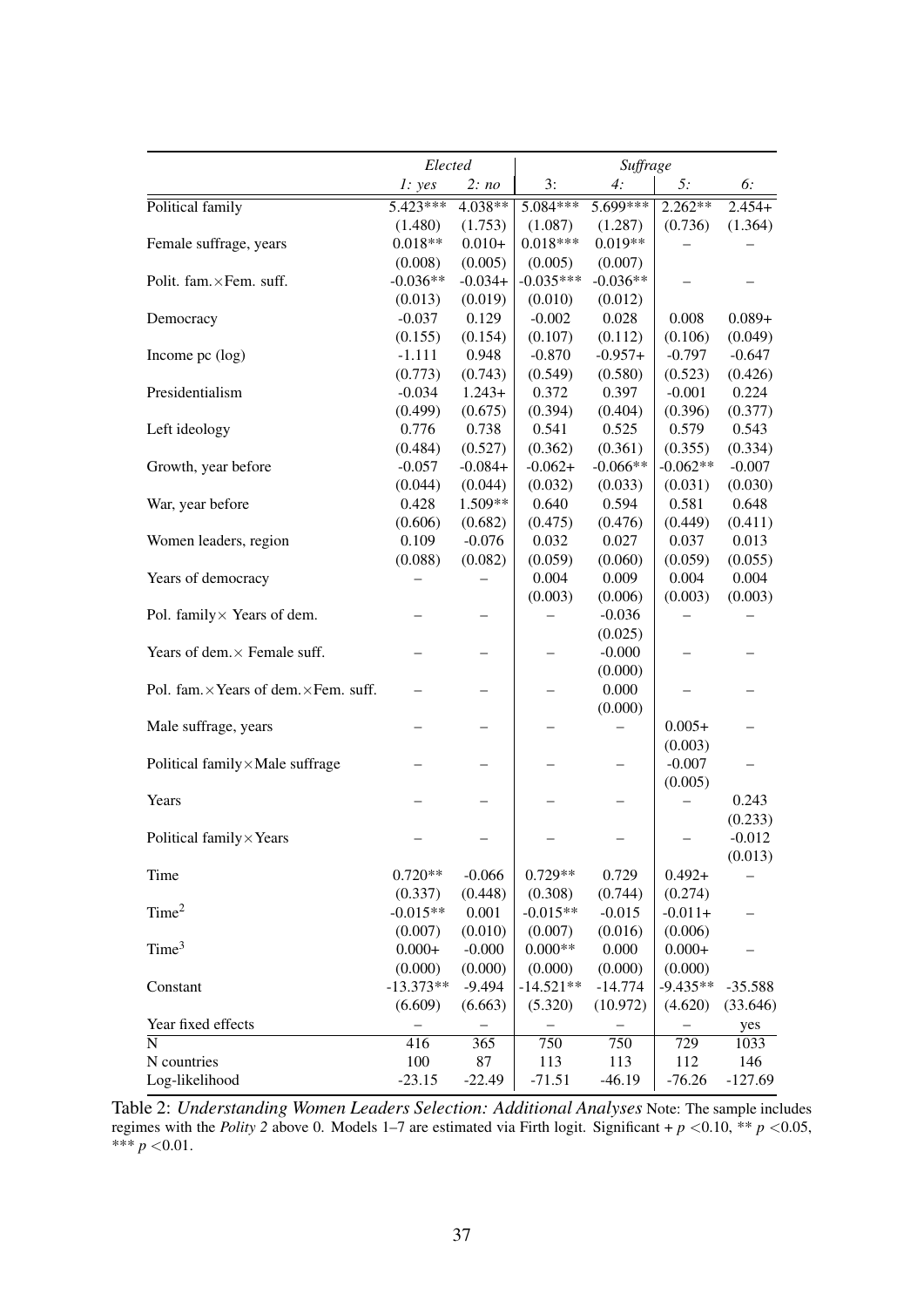<span id="page-37-0"></span>

|                                        | Elected     |           | Suffrage    |            |            |           |
|----------------------------------------|-------------|-----------|-------------|------------|------------|-----------|
|                                        | 1: yes      | 2: no     | 3:          | 4:         | 5:         | 6:        |
| Political family                       | 5.423***    | 4.038**   | $5.084***$  | 5.699***   | $2.262**$  | $2.454+$  |
|                                        | (1.480)     | (1.753)   | (1.087)     | (1.287)    | (0.736)    | (1.364)   |
| Female suffrage, years                 | $0.018**$   | $0.010+$  | $0.018***$  | $0.019**$  |            |           |
|                                        | (0.008)     | (0.005)   | (0.005)     | (0.007)    |            |           |
| Polit. fam. × Fem. suff.               | $-0.036**$  | $-0.034+$ | $-0.035***$ | $-0.036**$ |            |           |
|                                        | (0.013)     | (0.019)   | (0.010)     | (0.012)    |            |           |
| Democracy                              | $-0.037$    | 0.129     | $-0.002$    | 0.028      | 0.008      | $0.089 +$ |
|                                        | (0.155)     | (0.154)   | (0.107)     | (0.112)    | (0.106)    | (0.049)   |
| Income pc (log)                        | $-1.111$    | 0.948     | $-0.870$    | $-0.957+$  | $-0.797$   | $-0.647$  |
|                                        | (0.773)     | (0.743)   | (0.549)     | (0.580)    | (0.523)    | (0.426)   |
| Presidentialism                        | $-0.034$    | $1.243+$  | 0.372       | 0.397      | $-0.001$   | 0.224     |
|                                        | (0.499)     | (0.675)   | (0.394)     | (0.404)    | (0.396)    | (0.377)   |
| Left ideology                          | 0.776       | 0.738     | 0.541       | 0.525      | 0.579      | 0.543     |
|                                        | (0.484)     | (0.527)   | (0.362)     | (0.361)    | (0.355)    | (0.334)   |
| Growth, year before                    | $-0.057$    | $-0.084+$ | $-0.062+$   | $-0.066**$ | $-0.062**$ | $-0.007$  |
|                                        | (0.044)     | (0.044)   | (0.032)     | (0.033)    | (0.031)    | (0.030)   |
| War, year before                       | 0.428       | 1.509**   | 0.640       | 0.594      | 0.581      | 0.648     |
|                                        | (0.606)     | (0.682)   | (0.475)     | (0.476)    | (0.449)    | (0.411)   |
| Women leaders, region                  | 0.109       | $-0.076$  | 0.032       | 0.027      | 0.037      | 0.013     |
|                                        | (0.088)     | (0.082)   | (0.059)     | (0.060)    | (0.059)    | (0.055)   |
| Years of democracy                     |             |           | 0.004       | 0.009      | 0.004      | 0.004     |
|                                        |             |           | (0.003)     | (0.006)    | (0.003)    | (0.003)   |
| Pol. family × Years of dem.            |             |           |             | $-0.036$   |            |           |
|                                        |             |           |             | (0.025)    |            |           |
| Years of dem. × Female suff.           |             |           |             | $-0.000$   |            |           |
|                                        |             |           |             | (0.000)    |            |           |
| Pol. fam. × Years of dem. × Fem. suff. |             |           |             | 0.000      |            |           |
|                                        |             |           |             | (0.000)    |            |           |
| Male suffrage, years                   |             |           |             |            | $0.005+$   |           |
|                                        |             |           |             |            | (0.003)    |           |
| Political family×Male suffrage         |             |           |             |            | $-0.007$   |           |
|                                        |             |           |             |            | (0.005)    |           |
| Years                                  |             |           |             |            |            | 0.243     |
|                                        |             |           |             |            |            | (0.233)   |
| Political family×Years                 |             |           |             |            |            | $-0.012$  |
|                                        |             |           |             |            |            | (0.013)   |
| Time                                   | $0.720**$   | $-0.066$  | $0.729**$   | 0.729      | $0.492 +$  |           |
|                                        | (0.337)     | (0.448)   | (0.308)     | (0.744)    | (0.274)    |           |
| Time <sup>2</sup>                      | $-0.015**$  | 0.001     | $-0.015**$  | $-0.015$   | $-0.011+$  |           |
|                                        | (0.007)     | (0.010)   | (0.007)     | (0.016)    | (0.006)    |           |
| Time <sup>3</sup>                      | $0.000 +$   | $-0.000$  | $0.000**$   | 0.000      | $0.000 +$  |           |
|                                        | (0.000)     | (0.000)   | (0.000)     | (0.000)    | (0.000)    |           |
| Constant                               | $-13.373**$ | $-9.494$  | $-14.521**$ | $-14.774$  | $-9.435**$ | $-35.588$ |
|                                        | (6.609)     | (6.663)   | (5.320)     | (10.972)   | (4.620)    | (33.646)  |
| Year fixed effects                     |             |           |             |            |            | yes       |
| $\overline{\mathbf{N}}$                | 416         | 365       | 750         | 750        | 729        | 1033      |
| N countries                            | 100         | 87        | 113         | 113        | 112        | 146       |
| Log-likelihood                         | $-23.15$    | $-22.49$  | $-71.51$    | $-46.19$   | $-76.26$   | $-127.69$ |

Table 2: *Understanding Women Leaders Selection: Additional Analyses* Note: The sample includes regimes with the *Polity 2* above 0. Models 1–7 are estimated via Firth logit. Significant + *p <*0.10, \*\* *p <*0.05, \*\*\* *p <*0.01.